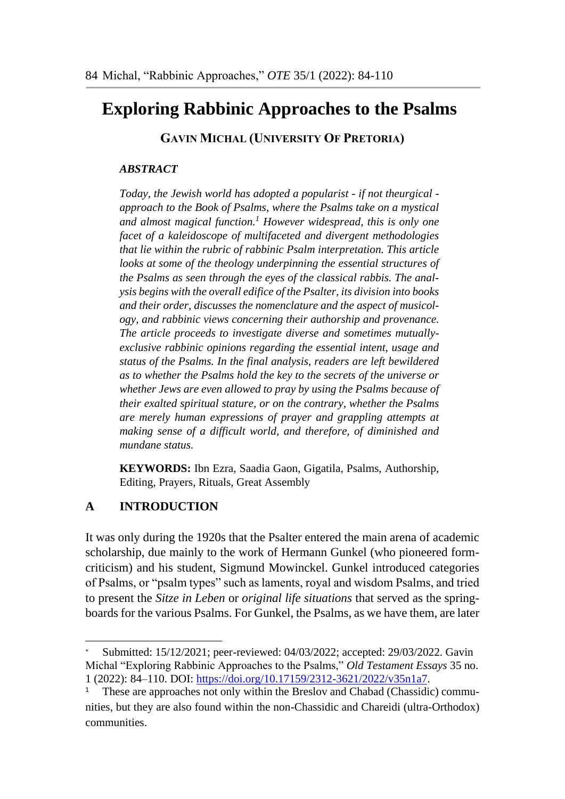# **Exploring Rabbinic Approaches to the Psalms**

**GAVIN MICHAL (UNIVERSITY OF PRETORIA)**

# *ABSTRACT*

*Today, the Jewish world has adopted a popularist - if not theurgical approach to the Book of Psalms, where the Psalms take on a mystical and almost magical function. <sup>1</sup> However widespread, this is only one facet of a kaleidoscope of multifaceted and divergent methodologies that lie within the rubric of rabbinic Psalm interpretation. This article looks at some of the theology underpinning the essential structures of the Psalms as seen through the eyes of the classical rabbis. The analysis begins with the overall edifice of the Psalter, its division into books and their order, discusses the nomenclature and the aspect of musicology, and rabbinic views concerning their authorship and provenance. The article proceeds to investigate diverse and sometimes mutuallyexclusive rabbinic opinions regarding the essential intent, usage and status of the Psalms. In the final analysis, readers are left bewildered as to whether the Psalms hold the key to the secrets of the universe or whether Jews are even allowed to pray by using the Psalms because of their exalted spiritual stature, or on the contrary, whether the Psalms are merely human expressions of prayer and grappling attempts at making sense of a difficult world, and therefore, of diminished and mundane status.*

**KEYWORDS:** Ibn Ezra, Saadia Gaon, Gigatila, Psalms, Authorship, Editing, Prayers, Rituals, Great Assembly

# **A INTRODUCTION**

-

It was only during the 1920s that the Psalter entered the main arena of academic scholarship, due mainly to the work of Hermann Gunkel (who pioneered formcriticism) and his student, Sigmund Mowinckel. Gunkel introduced categories of Psalms, or "psalm types" such as laments, royal and wisdom Psalms, and tried to present the *Sitze in Leben* or *original life situations* that served as the springboards for the various Psalms. For Gunkel, the Psalms, as we have them, are later

Submitted: 15/12/2021; peer-reviewed: 04/03/2022; accepted: 29/03/2022. Gavin Michal "Exploring Rabbinic Approaches to the Psalms," *Old Testament Essays* 35 no. 1 (2022): 84–110. DOI: [https://doi.org/10.17159/2312-3621/2022/v35n1a7.](https://doi.org/10.17159/2312-3621/2022/v35n1a7)

These are approaches not only within the Breslov and Chabad (Chassidic) communities, but they are also found within the non-Chassidic and Chareidi (ultra-Orthodox) communities.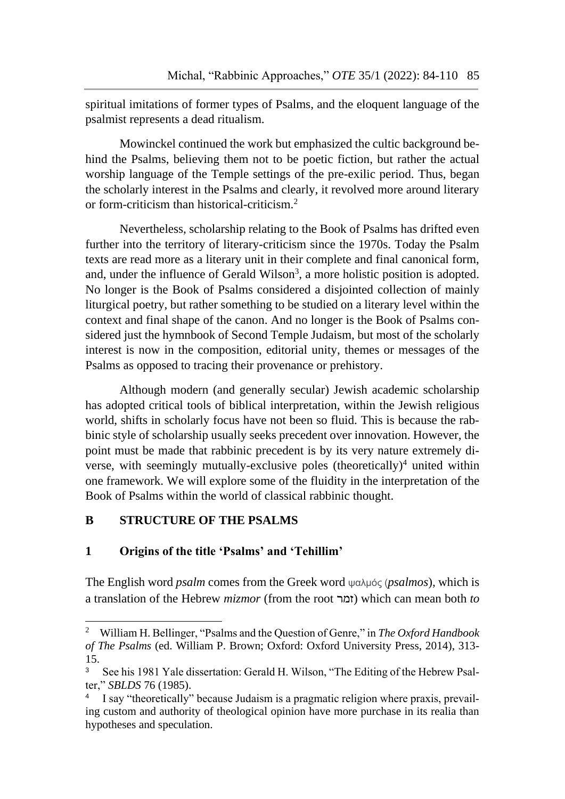spiritual imitations of former types of Psalms, and the eloquent language of the psalmist represents a dead ritualism.

Mowinckel continued the work but emphasized the cultic background behind the Psalms, believing them not to be poetic fiction, but rather the actual worship language of the Temple settings of the pre-exilic period. Thus, began the scholarly interest in the Psalms and clearly, it revolved more around literary or form-criticism than historical-criticism.<sup>2</sup>

Nevertheless, scholarship relating to the Book of Psalms has drifted even further into the territory of literary-criticism since the 1970s. Today the Psalm texts are read more as a literary unit in their complete and final canonical form, and, under the influence of Gerald Wilson<sup>3</sup>, a more holistic position is adopted. No longer is the Book of Psalms considered a disjointed collection of mainly liturgical poetry, but rather something to be studied on a literary level within the context and final shape of the canon. And no longer is the Book of Psalms considered just the hymnbook of Second Temple Judaism, but most of the scholarly interest is now in the composition, editorial unity, themes or messages of the Psalms as opposed to tracing their provenance or prehistory.

Although modern (and generally secular) Jewish academic scholarship has adopted critical tools of biblical interpretation, within the Jewish religious world, shifts in scholarly focus have not been so fluid. This is because the rabbinic style of scholarship usually seeks precedent over innovation. However, the point must be made that rabbinic precedent is by its very nature extremely diverse, with seemingly mutually-exclusive poles (theoretically)<sup>4</sup> united within one framework. We will explore some of the fluidity in the interpretation of the Book of Psalms within the world of classical rabbinic thought.

# **B STRUCTURE OF THE PSALMS**

1

# **1 Origins of the title 'Psalms' and 'Tehillim'**

The English word *psalm* comes from the Greek word ψαλμός (*psalmos*), which is a translation of the Hebrew *mizmor* (from the root זמר (which can mean both *to*

<sup>2</sup> William H. Bellinger, "Psalms and the Question of Genre," in *The Oxford Handbook of The Psalms* (ed. William P. Brown; Oxford: Oxford University Press, 2014), 313- 15.

<sup>3</sup> See his 1981 Yale dissertation: Gerald H. Wilson, "The Editing of the Hebrew Psalter," *SBLDS* 76 (1985).

<sup>4</sup> I say "theoretically" because Judaism is a pragmatic religion where praxis, prevailing custom and authority of theological opinion have more purchase in its realia than hypotheses and speculation.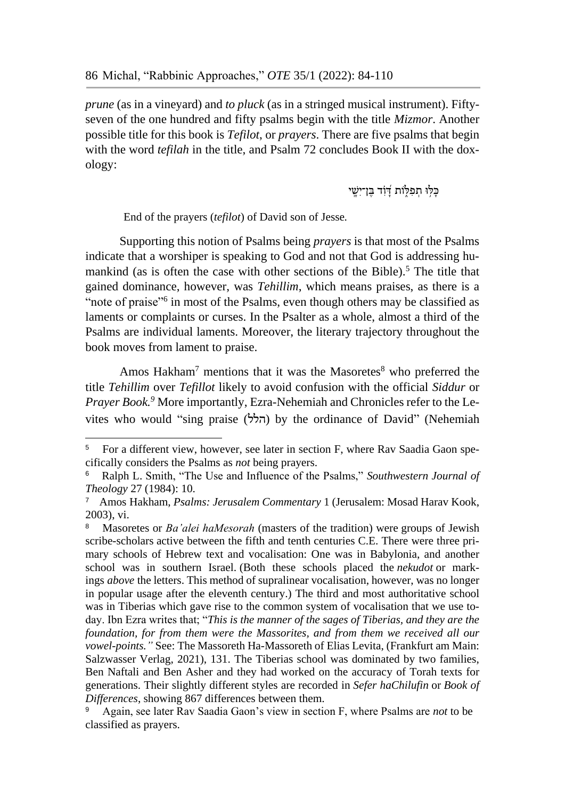*prune* (as in a vineyard) and *to pluck* (as in a stringed musical instrument). Fiftyseven of the one hundred and fifty psalms begin with the title *Mizmor*. Another possible title for this book is *Tefilot*, or *prayers*. There are five psalms that begin with the word *tefilah* in the title, and Psalm 72 concludes Book II with the doxology:

כִּלְּוּ תִפְלְּוֹת דְַוָ**ד בֵ**וְ־יִשֵׁי

End of the prayers (*tefilot*) of David son of Jesse*.*

1

Supporting this notion of Psalms being *prayers* is that most of the Psalms indicate that a worshiper is speaking to God and not that God is addressing humankind (as is often the case with other sections of the Bible).<sup>5</sup> The title that gained dominance, however, was *Tehillim*, which means praises, as there is a "note of praise"<sup>6</sup> in most of the Psalms, even though others may be classified as laments or complaints or curses. In the Psalter as a whole, almost a third of the Psalms are individual laments. Moreover, the literary trajectory throughout the book moves from lament to praise.

Amos Hakham<sup>7</sup> mentions that it was the Masoretes<sup>8</sup> who preferred the title *Tehillim* over *Tefillot* likely to avoid confusion with the official *Siddur* or *Prayer Book.<sup>9</sup>* More importantly, Ezra-Nehemiah and Chronicles refer to the Levites who would "sing praise (הלל) by the ordinance of David" (Nehemiah

<sup>&</sup>lt;sup>5</sup> For a different view, however, see later in section F, where Rav Saadia Gaon specifically considers the Psalms as *not* being prayers.

<sup>6</sup> Ralph L. Smith, "The Use and Influence of the Psalms," *Southwestern Journal of Theology* 27 (1984): 10.

<sup>7</sup> Amos Hakham, *Psalms: Jerusalem Commentary* 1 (Jerusalem: Mosad Harav Kook, 2003), vi.

<sup>8</sup> Masoretes or *Ba'alei haMesorah* (masters of the tradition) were groups of Jewish scribe-scholars active between the fifth and tenth centuries C.E. There were three primary schools of Hebrew text and vocalisation: One was in Babylonia, and another school was in southern Israel. (Both these schools placed the *nekudot* or markings *above* the letters. This method of supralinear vocalisation, however, was no longer in popular usage after the eleventh century.) The third and most authoritative school was in Tiberias which gave rise to the common system of vocalisation that we use today. Ibn Ezra writes that; "*This is the manner of the sages of Tiberias, and they are the foundation, for from them were the Massorites, and from them we received all our vowel-points."* See: The Massoreth Ha-Massoreth of Elias Levita, (Frankfurt am Main: Salzwasser Verlag, 2021), 131. The Tiberias school was dominated by two families, Ben Naftali and Ben Asher and they had worked on the accuracy of Torah texts for generations. Their slightly different styles are recorded in *Sefer haChilufin* or *Book of Differences*, showing 867 differences between them.

<sup>9</sup> Again, see later Rav Saadia Gaon's view in section F, where Psalms are *not* to be classified as prayers.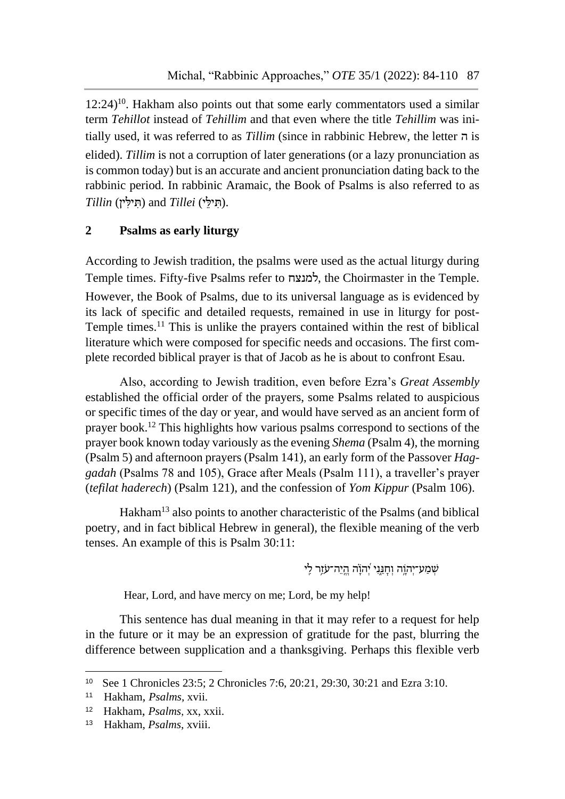$12:24$ <sup>10</sup>. Hakham also points out that some early commentators used a similar term *Tehillot* instead of *Tehillim* and that even where the title *Tehillim* was initially used, it was referred to as *Tillim* (since in rabbinic Hebrew, the letter ה is elided). *Tillim* is not a corruption of later generations (or a lazy pronunciation as is common today) but is an accurate and ancient pronunciation dating back to the rabbinic period. In rabbinic Aramaic, the Book of Psalms is also referred to as .(תִ ילֵּ י) *Tillei* and) תִ ילִ ין) *Tillin*

# **2 Psalms as early liturgy**

According to Jewish tradition, the psalms were used as the actual liturgy during Temple times. Fifty-five Psalms refer to למנצח, the Choirmaster in the Temple. However, the Book of Psalms, due to its universal language as is evidenced by its lack of specific and detailed requests, remained in use in liturgy for post-Temple times.<sup>11</sup> This is unlike the prayers contained within the rest of biblical literature which were composed for specific needs and occasions. The first complete recorded biblical prayer is that of Jacob as he is about to confront Esau.

Also, according to Jewish tradition, even before Ezra's *Great Assembly*  established the official order of the prayers, some Psalms related to auspicious or specific times of the day or year, and would have served as an ancient form of prayer book.<sup>12</sup> This highlights how various psalms correspond to sections of the prayer book known today variously as the evening *Shema* (Psalm 4), the morning (Psalm 5) and afternoon prayers (Psalm 141), an early form of the Passover *Haggadah* (Psalms 78 and 105), Grace after Meals (Psalm 111), a traveller's prayer (*tefilat haderech*) (Psalm 121), and the confession of *Yom Kippur* (Psalm 106).

Hakham<sup>13</sup> also points to another characteristic of the Psalms (and biblical poetry, and in fact biblical Hebrew in general), the flexible meaning of the verb tenses. An example of this is Psalm 30:11:

 $\psi$ שְׁמַע־יְהוֶה וְחָגֵּנִי יְהוָׂה הֱיֵה־עֹזֵר לַי

Hear, Lord, and have mercy on me; Lord, be my help!

This sentence has dual meaning in that it may refer to a request for help in the future or it may be an expression of gratitude for the past, blurring the difference between supplication and a thanksgiving. Perhaps this flexible verb

 $\overline{a}$ 

<sup>10</sup> See 1 Chronicles 23:5; 2 Chronicles 7:6, 20:21, 29:30, 30:21 and Ezra 3:10.

<sup>11</sup> Hakham, *Psalms*, xvii.

<sup>12</sup> Hakham, *Psalms*, xx, xxii.

<sup>13</sup> Hakham, *Psalms*, xviii.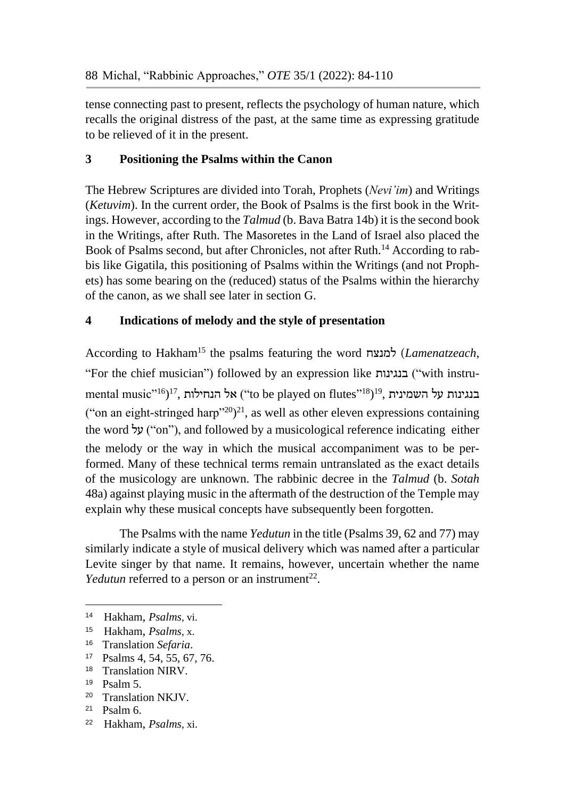tense connecting past to present, reflects the psychology of human nature, which recalls the original distress of the past, at the same time as expressing gratitude to be relieved of it in the present.

# **3 Positioning the Psalms within the Canon**

The Hebrew Scriptures are divided into Torah, Prophets (*Nevi'im*) and Writings (*Ketuvim*). In the current order, the Book of Psalms is the first book in the Writings. However, according to the *Talmud* (b. Bava Batra 14b) it is the second book in the Writings, after Ruth. The Masoretes in the Land of Israel also placed the Book of Psalms second, but after Chronicles, not after Ruth.<sup>14</sup> According to rabbis like Gigatila, this positioning of Psalms within the Writings (and not Prophets) has some bearing on the (reduced) status of the Psalms within the hierarchy of the canon, as we shall see later in section G.

# **4 Indications of melody and the style of presentation**

According to Hakham<sup>15</sup> the psalms featuring the word למנצח) *Lamenatzeach*, "For the chief musician") followed by an expression like בנגינות") with instrumental music"<sup>16</sup>)<sup>17</sup>, בנגינות על השמינית (to be played on flutes"<sup>18</sup>)<sup>19</sup>, בנגינות על ("on an eight-stringed harp"<sup>20</sup>)<sup>21</sup>, as well as other eleven expressions containing the word  $\forall y$  ("on"), and followed by a musicological reference indicating either the melody or the way in which the musical accompaniment was to be performed. Many of these technical terms remain untranslated as the exact details of the musicology are unknown. The rabbinic decree in the *Talmud* (b. *Sotah* 48a) against playing music in the aftermath of the destruction of the Temple may explain why these musical concepts have subsequently been forgotten.

The Psalms with the name *Yedutun* in the title (Psalms 39, 62 and 77) may similarly indicate a style of musical delivery which was named after a particular Levite singer by that name. It remains, however, uncertain whether the name *Yedutun* referred to a person or an instrument<sup>22</sup>.

- 15 Hakham, *Psalms*, x.
- <sup>16</sup> Translation *Sefaria*.
- <sup>17</sup> Psalms 4, 54, 55, 67, 76.
- <sup>18</sup> Translation NIRV.
- <sup>19</sup> Psalm 5.

- <sup>20</sup> Translation NKJV.
- <sup>21</sup> Psalm 6.
- 22 Hakham, *Psalms*, xi.

<sup>14</sup> Hakham, *Psalms*, vi.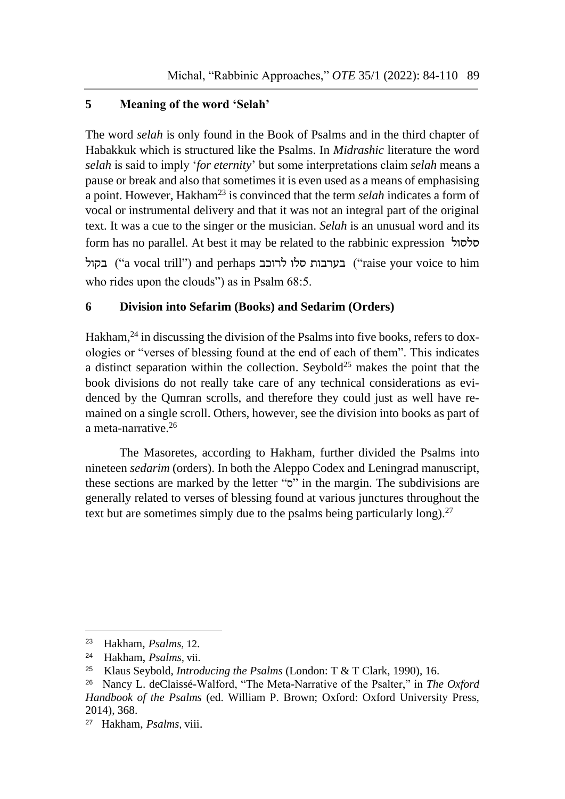# **5 Meaning of the word 'Selah'**

The word *selah* is only found in the Book of Psalms and in the third chapter of Habakkuk which is structured like the Psalms. In *Midrashic* literature the word *selah* is said to imply '*for eternity*' but some interpretations claim *selah* means a pause or break and also that sometimes it is even used as a means of emphasising a point. However, Hakham<sup>23</sup> is convinced that the term *selah* indicates a form of vocal or instrumental delivery and that it was not an integral part of the original text. It was a cue to the singer or the musician. *Selah* is an unusual word and its form has no parallel. At best it may be related to the rabbinic expression סלסול בקול") a vocal trill") and perhaps לרוכב סלו בערבות") raise your voice to him who rides upon the clouds") as in Psalm 68:5.

# **6 Division into Sefarim (Books) and Sedarim (Orders)**

Hakham,  $^{24}$  in discussing the division of the Psalms into five books, refers to doxologies or "verses of blessing found at the end of each of them". This indicates a distinct separation within the collection. Seybold<sup>25</sup> makes the point that the book divisions do not really take care of any technical considerations as evidenced by the Qumran scrolls, and therefore they could just as well have remained on a single scroll. Others, however, see the division into books as part of a meta-narrative.<sup>26</sup>

The Masoretes, according to Hakham, further divided the Psalms into nineteen *sedarim* (orders). In both the Aleppo Codex and Leningrad manuscript, these sections are marked by the letter " $\sigma$ " in the margin. The subdivisions are generally related to verses of blessing found at various junctures throughout the text but are sometimes simply due to the psalms being particularly long).<sup>27</sup>

<sup>23</sup> Hakham, *Psalms*, 12.

<sup>24</sup> Hakham, *Psalms*, vii.

<sup>25</sup> Klaus Seybold, *Introducing the Psalms* (London: T & T Clark, 1990), 16.

<sup>26</sup> Nancy L. deClaissé-Walford, "The Meta-Narrative of the Psalter," in *The Oxford Handbook of the Psalms* (ed. William P. Brown; Oxford: Oxford University Press, 2014), 368.

<sup>27</sup> Hakham, *Psalms*, viii.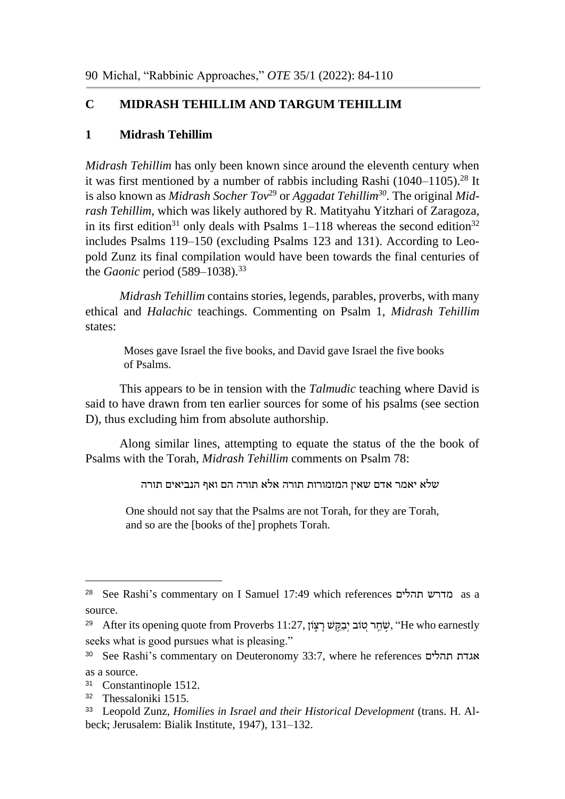# **C MIDRASH TEHILLIM AND TARGUM TEHILLIM**

# **1 Midrash Tehillim**

*Midrash Tehillim* has only been known since around the eleventh century when it was first mentioned by a number of rabbis including Rashi  $(1040-1105)$ .<sup>28</sup> It is also known as *Midrash Socher Tov*<sup>29</sup> or *Aggadat Tehillim*<sup>30</sup>. The original *Midrash Tehillim*, which was likely authored by R. [Matityahu Yitzhari](https://en.wikipedia.org/w/index.php?title=Mattithiah_Yi%E1%BA%93hari&action=edit&redlink=1) of [Zaragoza,](https://en.wikipedia.org/wiki/Zaragoza) in its first edition<sup>31</sup> only deals with Psalms  $1-118$  whereas the second edition<sup>32</sup> includes Psalms 119–150 (excluding Psalms 123 and 131). According to Leopold Zunz its final compilation would have been towards the final centuries of the *Gaonic* period (589–1038).<sup>33</sup>

*Midrash Tehillim* contains stories, legends, parables, proverbs, with many ethical and *Halachic* teachings. Commenting on Psalm 1, *Midrash Tehillim* states:

Moses gave Israel the five books, and David gave Israel the five books of Psalms.

This appears to be in tension with the *Talmudic* teaching where David is said to have drawn from ten earlier sources for some of his psalms (see section D), thus excluding him from absolute authorship.

Along similar lines, attempting to equate the status of the the book of Psalms with the Torah, *Midrash Tehillim* comments on Psalm 78:

שלא יאמר אדם שאין המזמורות תורה אלא תורה הם ואף הנביאים תורה

One should not say that the Psalms are not Torah, for they are Torah, and so are the [books of the] prophets Torah.

<sup>28</sup> See Rashi's commentary on I Samuel 17:49 which references תהלים מדרש as a source.

<sup>&</sup>lt;sup>29</sup> After its opening quote from Proverbs 11:27, שְׂמֵר יִבְקֵשׁ רָצְוֹז, "He who earnestly seeks what is good pursues what is pleasing."

<sup>30</sup> See Rashi's commentary on Deuteronomy 33:7, where he references תהלים אגדת as a source.

<sup>31</sup> Constantinople 1512.

<sup>32</sup> Thessaloniki 1515.

<sup>33</sup> Leopold Zunz, *Homilies in Israel and their Historical Development* (trans. H. Albeck; Jerusalem: Bialik Institute, 1947), 131–132.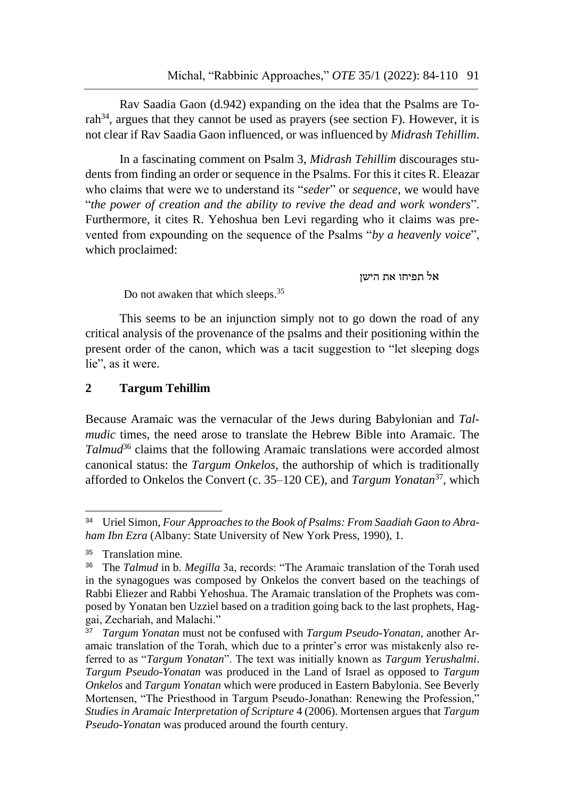Rav Saadia Gaon (d.942) expanding on the idea that the Psalms are Torah<sup>34</sup>, argues that they cannot be used as prayers (see section F). However, it is not clear if Rav Saadia Gaon influenced, or was influenced by *Midrash Tehillim*.

In a fascinating comment on Psalm 3, *Midrash Tehillim* discourages students from finding an order or sequence in the Psalms. For this it cites R. Eleazar who claims that were we to understand its "*seder*" or *sequence*, we would have "*the power of creation and the ability to revive the dead and work wonders*". Furthermore, it cites R. Yehoshua ben Levi regarding who it claims was prevented from expounding on the sequence of the Psalms "*by a heavenly voice*", which proclaimed:

אל תפיחו את הישן

Do not awaken that which sleeps.<sup>35</sup>

This seems to be an injunction simply not to go down the road of any critical analysis of the provenance of the psalms and their positioning within the present order of the canon, which was a tacit suggestion to "let sleeping dogs lie", as it were.

# **2 Targum Tehillim**

Because Aramaic was the vernacular of the Jews during Babylonian and *Talmudic* times, the need arose to translate the Hebrew Bible into Aramaic. The *Talmud*<sup>36</sup> claims that the following Aramaic translations were accorded almost canonical status: the *Targum Onkelos,* the authorship of which is traditionally afforded to Onkelos the Convert (c. 35–120 CE), and *Targum Yonatan*<sup>37</sup>, which

<sup>34</sup> Uriel Simon, *Four Approaches to the Book of Psalms: From Saadiah Gaon to Abraham Ibn Ezra* (Albany: State University of New York Press, 1990), 1.

<sup>35</sup> Translation mine.

<sup>36</sup> The *Talmud* in b. *Megilla* 3a, records: "The Aramaic translation of the Torah used in the synagogues was composed by [Onkelos the convert](about:blank) based on the teachings of [Rabbi Eliezer](about:blank) and [Rabbi Yehoshua.](about:blank) The Aramaic translation of the Prophets was composed by Yonatan ben Uzziel based on a tradition going back to the last prophets, Haggai, Zechariah, and Malachi."

<sup>37</sup> *Targum Yonatan* must not be confused with *Targum Pseudo-Yonatan*, another Aramaic translation of the Torah, which due to a printer's error was mistakenly also referred to as "*Targum Yonatan*". The text was initially known as *Targum Yerushalmi*. *Targum Pseudo-Yonatan* was produced in the Land of Israel as opposed to *Targum Onkelos* and *Targum Yonatan* which were produced in Eastern Babylonia. See Beverly Mortensen, "The Priesthood in Targum Pseudo-Jonathan: Renewing the Profession," *Studies in Aramaic Interpretation of Scripture* 4 (2006). Mortensen argues that *Targum Pseudo-Yonatan* was produced around the fourth century.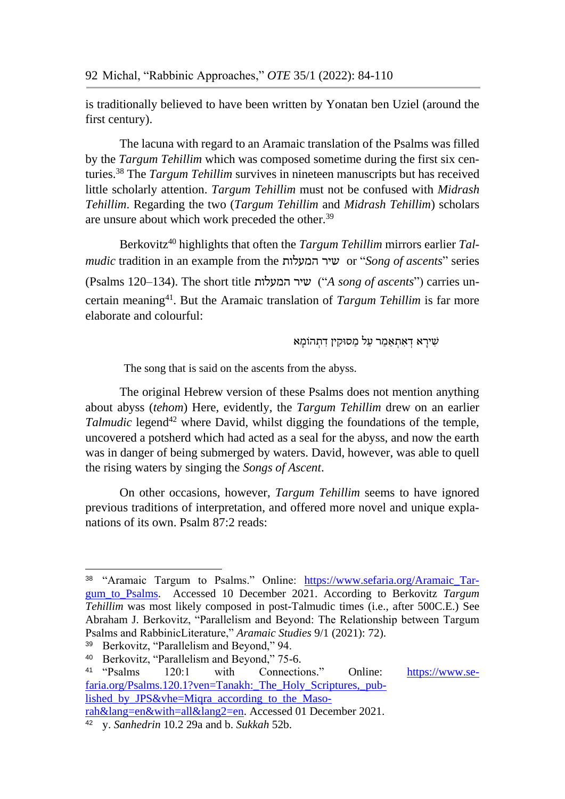is traditionally believed to have been written by Yonatan ben Uziel (around the first century).

The lacuna with regard to an Aramaic translation of the Psalms was filled by the *Targum Tehillim* which was composed sometime during the first six centuries.<sup>38</sup> The *Targum Tehillim* survives in nineteen manuscripts but has received little scholarly attention. *Targum Tehillim* must not be confused with *Midrash Tehillim*. Regarding the two (*Targum Tehillim* and *Midrash Tehillim*) scholars are unsure about which work preceded the other.<sup>39</sup>

Berkovitz<sup>40</sup> highlights that often the *Targum Tehillim* mirrors earlier *Talmudic* tradition in an example from the המעלות שיר or "*Song of ascents*" series (Psalms 120–134). The short title המעלות שיר") *A song of ascents*") carries uncertain meaning<sup>41</sup>. But the Aramaic translation of *Targum Tehillim* is far more elaborate and colourful:

שִׁירָא דְאָתְאַמְר עַל מַסוּקִין דְתְהֹוֹמֵא

The song that is said on the ascents from the abyss.

The original Hebrew version of these Psalms does not mention anything about abyss (*tehom*) Here, evidently, the *Targum Tehillim* drew on an earlier *Talmudic* legend<sup>42</sup> where David, whilst digging the foundations of the temple, uncovered a potsherd which had acted as a seal for the abyss, and now the earth was in danger of being submerged by waters. David, however, was able to quell the rising waters by singing the *Songs of Ascent*.

On other occasions, however, *Targum Tehillim* seems to have ignored previous traditions of interpretation, and offered more novel and unique explanations of its own. Psalm 87:2 reads:

<sup>38</sup> "Aramaic Targum to Psalms." Online: [https://www.sefaria.org/Aramaic\\_Tar](https://www.sefaria.org/Aramaic_Targum_to_Psalms)[gum\\_to\\_Psalms.](https://www.sefaria.org/Aramaic_Targum_to_Psalms) Accessed 10 December 2021. According to Berkovitz *Targum Tehillim* was most likely composed in post-Talmudic times (i.e., after 500C.E.) See Abraham J. Berkovitz, "Parallelism and Beyond: The Relationship between Targum Psalms and RabbinicLiterature," *Aramaic Studies* 9/1 (2021): 72).

<sup>39</sup> Berkovitz, "Parallelism and Beyond," 94.

<sup>40</sup> Berkovitz, "Parallelism and Beyond," 75-6.

<sup>41</sup> "Psalms 120:1 with Connections." Online: [https://www.se](https://www.sefaria.org/Psalms.120.1?ven=Tanakh:_The_Holy_Scriptures,_published_by_JPS&vhe=Miqra_according_to_the_Masorah&lang=en&with=all&lang2=en)faria.org/Psalms.120.1?ven=Tanakh: The Holy Scriptures, pub[lished\\_by\\_JPS&vhe=Miqra\\_according\\_to\\_the\\_Maso](https://www.sefaria.org/Psalms.120.1?ven=Tanakh:_The_Holy_Scriptures,_published_by_JPS&vhe=Miqra_according_to_the_Masorah&lang=en&with=all&lang2=en)[rah&lang=en&with=all&lang2=en.](https://www.sefaria.org/Psalms.120.1?ven=Tanakh:_The_Holy_Scriptures,_published_by_JPS&vhe=Miqra_according_to_the_Masorah&lang=en&with=all&lang2=en) Accessed 01 December 2021.

<sup>42</sup> y. *Sanhedrin* 10.2 29a and b. *Sukkah* 52b.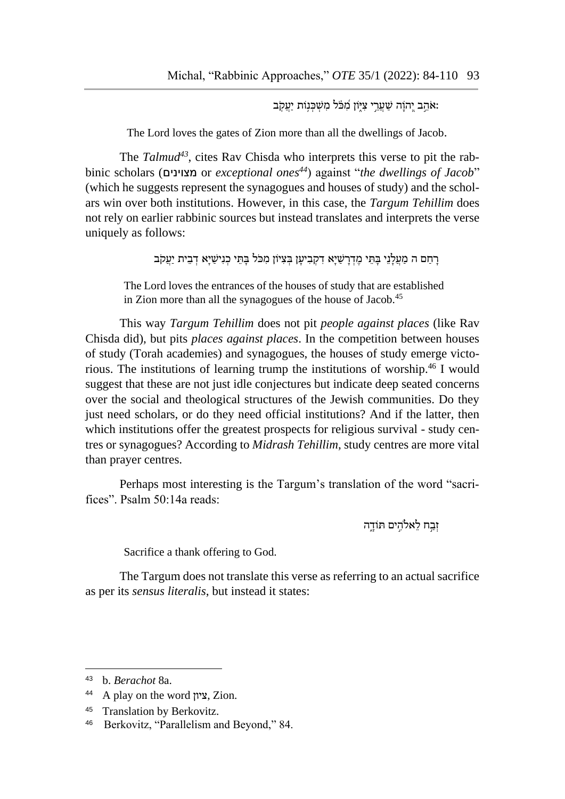אֹהֵב יְהוַה שַׁעֲרֵי צִיְּּוֹן מִֽכֹּּל מִשְׁכְּנִוֹּת יַעֲקָב:

The Lord loves the gates of Zion more than all the dwellings of Jacob.

The *Talmud43*, cites Rav Chisda who interprets this verse to pit the rabbinic scholars (מצוינים or *exceptional ones<sup>44</sup>*) against "*the dwellings of Jacob*" (which he suggests represent the synagogues and houses of study) and the scholars win over both institutions. However, in this case, the *Targum Tehillim* does not rely on earlier rabbinic sources but instead translates and interprets the verse uniquely as follows:

רַחַם ה מַעֲלָנֵי בַּתֵּי מֶדְרָשַׁיָא דְקִבְיעָן בִּצְיוֹן מִכֹּל בַּתֵּי כְנִישַׁיַא דְבֵית יַעֲקֹב

The Lord loves the entrances of the houses of study that are established in Zion more than all the synagogues of the house of Jacob.<sup>45</sup>

This way *Targum Tehillim* does not pit *people against places* (like Rav Chisda did), but pits *places against places*. In the competition between houses of study (Torah academies) and synagogues, the houses of study emerge victorious. The institutions of learning trump the institutions of worship.<sup>46</sup> I would suggest that these are not just idle conjectures but indicate deep seated concerns over the social and theological structures of the Jewish communities. Do they just need scholars, or do they need official institutions? And if the latter, then which institutions offer the greatest prospects for religious survival - study centres or synagogues? According to *Midrash Tehillim*, study centres are more vital than prayer centres.

Perhaps most interesting is the Targum's translation of the word "sacrifices". Psalm 50:14a reads:

זְבַח לֹאֵלהִים תּוֹדָה

Sacrifice a thank offering to God.

The Targum does not translate this verse as referring to an actual sacrifice as per its *sensus literalis*, but instead it states:

<sup>43</sup> b. *Berachot* 8a.

<sup>44</sup> A play on the word ציון, Zion.

<sup>45</sup> Translation by Berkovitz.

<sup>46</sup> Berkovitz, "Parallelism and Beyond," 84.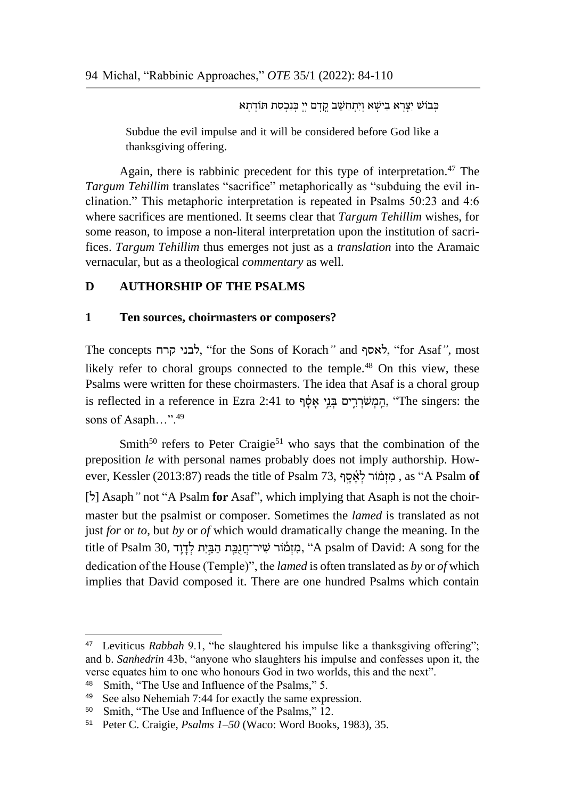כְּבוֹשׁ יִצְרָא בִישָׁא וְיִתְחַשֵּׁב קֵדָם יִיָּ כְּנִכְסַת תּוֹדְתָא

Subdue the evil impulse and it will be considered before God like a thanksgiving offering.

Again, there is rabbinic precedent for this type of interpretation.<sup>47</sup> The *Targum Tehillim* translates "sacrifice" metaphorically as "subduing the evil inclination." This metaphoric interpretation is repeated in Psalms 50:23 and 4:6 where sacrifices are mentioned. It seems clear that *Targum Tehillim* wishes, for some reason, to impose a non-literal interpretation upon the institution of sacrifices. *Targum Tehillim* thus emerges not just as a *translation* into the Aramaic vernacular, but as a theological *commentary* as well.

# **D AUTHORSHIP OF THE PSALMS**

#### **1 Ten sources, choirmasters or composers?**

The concepts קרח לבני," for the Sons of Korach*"* and לאסף," for Asaf*"*, most likely refer to choral groups connected to the temple.<sup>48</sup> On this view, these Psalms were written for these choirmasters. The idea that Asaf is a choral group the singers: the הַמְשֹׁרְרִים בְּנֵי אָסָּף, "The singers: the sons of Asaph...".<sup>49</sup>

Smith<sup>50</sup> refers to Peter Craigie<sup>51</sup> who says that the combination of the preposition *le* with personal names probably does not imply authorship. However, Kessler (2013:87) reads the title of Psalm 73, מוֹמוֹר לאסף, as "A Psalm of [ $\dot{b}$ ] Asaph<sup>"</sup> not "A Psalm **for** Asaf", which implying that Asaph is not the choirmaster but the psalmist or composer. Sometimes the *lamed* is translated as not just *for* or *to*, but *by* or *of* which would dramatically change the meaning. In the title of Psalm 30, מִ זְמַמֹּוֹר שִׁיר־חֲנָכֵּת הַבֵּיִת לְדַוֵּד, "A psalm of David: A song for the dedication of the House (Temple)", the *lamed* is often translated as *by* or *of* which implies that David composed it. There are one hundred Psalms which contain

<sup>47</sup> Leviticus *Rabbah* 9.1, "he slaughtered his impulse like a thanksgiving offering"; and b. *Sanhedrin* 43b, "anyone who slaughters his impulse and confesses upon it, the verse equates him to one who honours God in two worlds, this and the next".

<sup>48</sup> Smith, "The Use and Influence of the Psalms," 5.

<sup>49</sup> See also Nehemiah 7:44 for exactly the same expression.

<sup>50</sup> Smith, "The Use and Influence of the Psalms," 12.

<sup>51</sup> Peter C. Craigie, *Psalms 1–50* (Waco: Word Books, 1983), 35.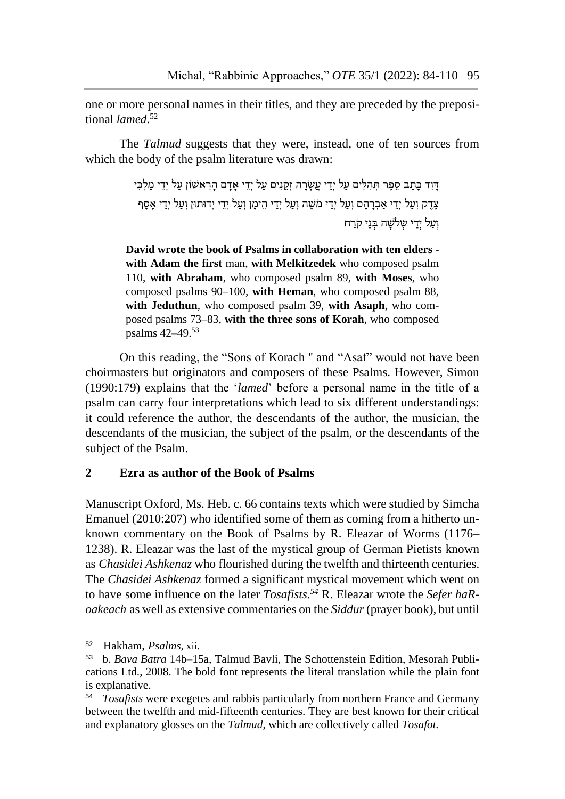one or more personal names in their titles, and they are preceded by the prepositional *lamed*. 52

The *Talmud* suggests that they were, instead, one of ten sources from which the body of the psalm literature was drawn:

> דִּוְד כָּתַב סֶפֶּר תְּהִלִּים עַל יְדֵי עֲשָׂרַה זְקֵנִים עַל יְדֵי אָדַם הַרְאשׁוֹן עַל יְדֵי מַלְכִּי ּ צֶּדֶק וְעַל יְדֵי אַבְרָהָם וְעַל יְדֵי מֹשֶׁה וְעַל יְדֵי הֵימָן וְעַל יְדֵי יְדוּתוּן וְעַל יְדֵי אָסָף וְעַל יְדֵי שָׁלֹשָׁה בְּנֵי קֹרִח

**David wrote the book of Psalms in collaboration with ten elders with Adam the first** man, **with Melkitzedek** who composed psalm 110, **with Abraham**, who composed psalm 89, **with Moses**, who composed psalms 90–100, **with Heman**, who composed psalm 88, **with Jeduthun**, who composed psalm 39, **with Asaph**, who composed psalms 73–83, **with the three sons of Korah**, who composed psalms 42–49.<sup>53</sup>

On this reading, the "Sons of Korach '' and "Asaf" would not have been choirmasters but originators and composers of these Psalms. However, Simon (1990:179) explains that the '*lamed*' before a personal name in the title of a psalm can carry four interpretations which lead to six different understandings: it could reference the author, the descendants of the author, the musician, the descendants of the musician, the subject of the psalm, or the descendants of the subject of the Psalm.

#### **2 Ezra as author of the Book of Psalms**

Manuscript Oxford, Ms. Heb. c. 66 contains texts which were studied by Simcha Emanuel (2010:207) who identified some of them as coming from a hitherto unknown commentary on the Book of Psalms by R. Eleazar of Worms (1176– 1238). R. Eleazar was the last of the mystical group of German Pietists known as *Chasidei Ashkenaz* who flourished during the twelfth and thirteenth centuries. The *Chasidei Ashkenaz* formed a significant mystical movement which went on to have some influence on the later *Tosafists*. *<sup>54</sup>* R. Eleazar wrote the *Sefer haRoakeach* as well as extensive commentaries on the *Siddur*(prayer book), but until

<sup>52</sup> Hakham, *Psalms*, xii.

<sup>53</sup> b. *Bava Batra* 14b–15a, Talmud Bavli, The Schottenstein Edition, Mesorah Publications Ltd., 2008. The bold font represents the literal translation while the plain font is explanative.

<sup>54</sup> *Tosafists* were exegetes and rabbis particularly from northern France and Germany between the twelfth and mid-fifteenth centuries. They are best known for their critical and explanatory glosses on the *Talmud*, which are collectively called *Tosafot.*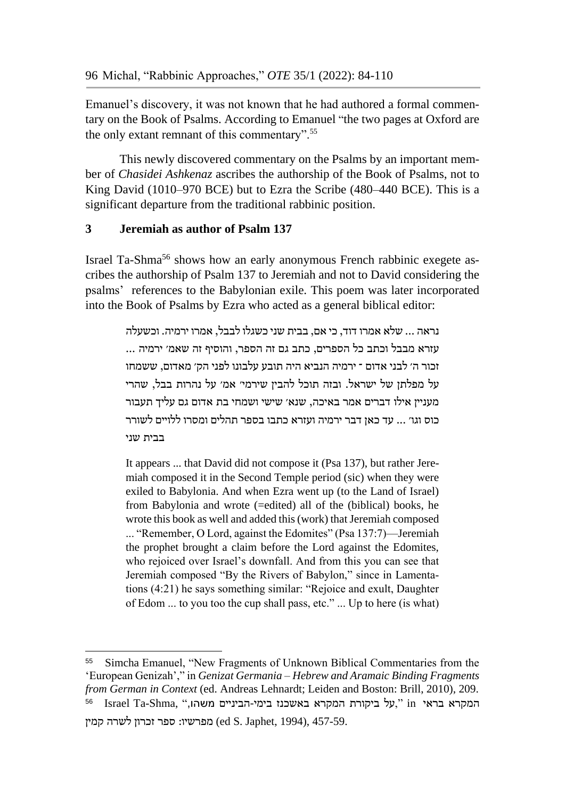Emanuel's discovery, it was not known that he had authored a formal commentary on the Book of Psalms. According to Emanuel "the two pages at Oxford are the only extant remnant of this commentary".<sup>55</sup>

This newly discovered commentary on the Psalms by an important member of *Chasidei Ashkenaz* ascribes the authorship of the Book of Psalms, not to King David (1010–970 BCE) but to Ezra the Scribe (480–440 BCE). This is a significant departure from the traditional rabbinic position.

# **3 Jeremiah as author of Psalm 137**

 $\overline{a}$ 

Israel Ta-Shma<sup>56</sup> shows how an early anonymous French rabbinic exegete ascribes the authorship of Psalm 137 to Jeremiah and not to David considering the psalms' references to the Babylonian exile. This poem was later incorporated into the Book of Psalms by Ezra who acted as a general biblical editor:

> נראה ... שלא אמרו דוד, כי אם, בבית שני כשגלו לבבל, אמרו ירמיה. וכשעלה עזרא מבבל וכתב כל הספרים, כתב גם זה הספר, והוסיף זה שאמ׳ ירמיה ... זכור ה׳ לבני אדום ־ ירמיה הנביא היה תובע עלבונו לפני הק׳ מאדום, ששמחו על מפלתן של ישראל. ובזה תוכל להבין שירמי׳ אמ׳ על נהרות בבל, שהרי מעניין אילו דברים אמר באיכה, שנא׳ שישי ושמחי בת אדום גם עליך תעבור כוס וגו׳ ... עד כאן דבר ירמיה ועזרא כתבו בספר תהלים ומסרו ללויים לשורר בבית שני

> It appears ... that David did not compose it (Psa 137), but rather Jeremiah composed it in the Second Temple period (sic) when they were exiled to Babylonia. And when Ezra went up (to the Land of Israel) from Babylonia and wrote (=edited) all of the (biblical) books, he wrote this book as well and added this (work) that Jeremiah composed ... "Remember, O Lord, against the Edomites" (Psa 137:7)—Jeremiah the prophet brought a claim before the Lord against the Edomites, who rejoiced over Israel's downfall. And from this you can see that Jeremiah composed "By the Rivers of Babylon," since in Lamentations (4:21) he says something similar: "Rejoice and exult, Daughter of Edom ... to you too the cup shall pass, etc." ... Up to here (is what)

<sup>55</sup> Simcha Emanuel, "New Fragments of Unknown Biblical Commentaries from the 'European Genizah'," in *Genizat Germania – Hebrew and Aramaic Binding Fragments from German in Context* (ed. Andreas Lehnardt; Leiden and Boston: Brill, 2010), 209. 56 המקרא בראי in" ,על ביקורת המקרא באשכנז בימי-הביניים משהו," ,Shma-Ta Israel 457-59. ,(1994 ,Japhet .S ed (מפרשיו: ספר זכרון לשרה קמין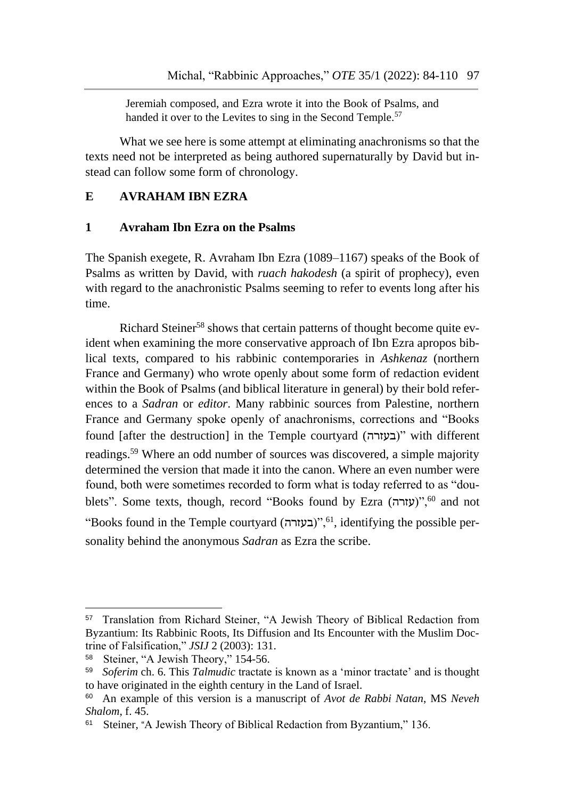Jeremiah composed, and Ezra wrote it into the Book of Psalms, and handed it over to the Levites to sing in the Second Temple.<sup>57</sup>

What we see here is some attempt at eliminating anachronisms so that the texts need not be interpreted as being authored supernaturally by David but instead can follow some form of chronology.

# **E AVRAHAM IBN EZRA**

#### **1 Avraham Ibn Ezra on the Psalms**

The Spanish exegete, R. Avraham Ibn Ezra (1089–1167) speaks of the Book of Psalms as written by David, with *ruach hakodesh* (a spirit of prophecy), even with regard to the anachronistic Psalms seeming to refer to events long after his time.

Richard Steiner<sup>58</sup> shows that certain patterns of thought become quite evident when examining the more conservative approach of Ibn Ezra apropos biblical texts, compared to his rabbinic contemporaries in *Ashkenaz* (northern France and Germany) who wrote openly about some form of redaction evident within the Book of Psalms (and biblical literature in general) by their bold references to a *Sadran* or *editor*. Many rabbinic sources from Palestine, northern France and Germany spoke openly of anachronisms, corrections and "Books found [after the destruction] in the Temple courtyard (בעזרה "(with different readings.<sup>59</sup> Where an odd number of sources was discovered, a simple majority determined the version that made it into the canon. Where an even number were found, both were sometimes recorded to form what is today referred to as "doublets". Some texts, though, record "Books found by Ezra (עזרה)",<sup>60</sup> and not "Books found in the Temple courtyard (בעזרה)",<sup>61</sup>, identifying the possible personality behind the anonymous *Sadran* as Ezra the scribe.

-

<sup>57</sup> Translation from Richard Steiner, "A Jewish Theory of Biblical Redaction from Byzantium: Its Rabbinic Roots, Its Diffusion and Its Encounter with the Muslim Doctrine of Falsification," *JSIJ* 2 (2003): 131.

<sup>58</sup> Steiner, "A Jewish Theory," 154-56.

<sup>59</sup> *Soferim* ch. 6. This *Talmudic* tractate is known as a 'minor tractate' and is thought to have originated in the eighth century in the Land of Israel.

<sup>60</sup> An example of this version is a manuscript of *Avot de Rabbi Natan*, MS *Neveh Shalom*, f. 45.

<sup>&</sup>lt;sup>61</sup> Steiner, "A Jewish Theory of Biblical Redaction from Byzantium," 136.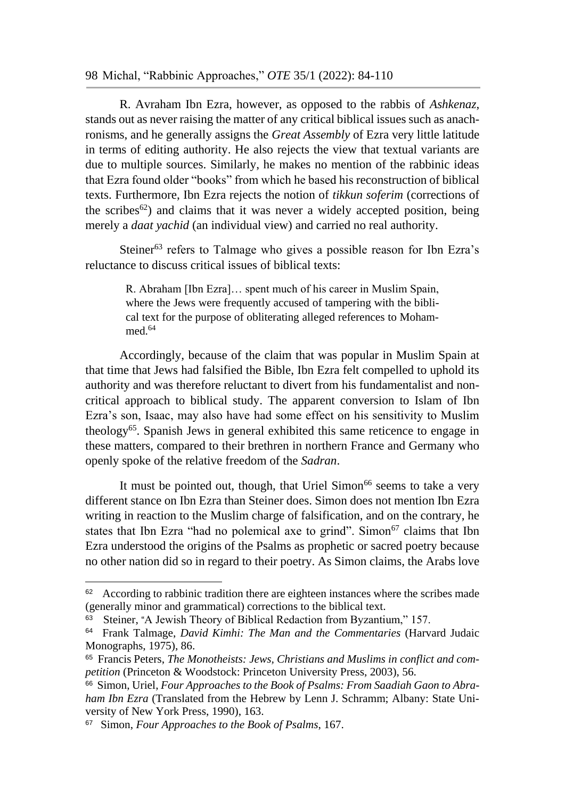#### 98 Michal, "Rabbinic Approaches," *OTE* 35/1 (2022): 84-110

R. Avraham Ibn Ezra, however, as opposed to the rabbis of *Ashkenaz*, stands out as never raising the matter of any critical biblical issues such as anachronisms, and he generally assigns the *Great Assembly* of Ezra very little latitude in terms of editing authority. He also rejects the view that textual variants are due to multiple sources. Similarly, he makes no mention of the rabbinic ideas that Ezra found older "books" from which he based his reconstruction of biblical texts. Furthermore, Ibn Ezra rejects the notion of *tikkun soferim* (corrections of the scribes<sup>62</sup>) and claims that it was never a widely accepted position, being merely a *daat yachid* (an individual view) and carried no real authority.

Steiner<sup>63</sup> refers to Talmage who gives a possible reason for Ibn Ezra's reluctance to discuss critical issues of biblical texts:

> R. Abraham [Ibn Ezra]… spent much of his career in Muslim Spain, where the Jews were frequently accused of tampering with the biblical text for the purpose of obliterating alleged references to Mohammed<sup>64</sup>

Accordingly, because of the claim that was popular in Muslim Spain at that time that Jews had falsified the Bible, Ibn Ezra felt compelled to uphold its authority and was therefore reluctant to divert from his fundamentalist and noncritical approach to biblical study. The apparent conversion to Islam of Ibn Ezra's son, Isaac, may also have had some effect on his sensitivity to Muslim theology<sup>65</sup>. Spanish Jews in general exhibited this same reticence to engage in these matters, compared to their brethren in northern France and Germany who openly spoke of the relative freedom of the *Sadran*.

It must be pointed out, though, that Uriel Simon<sup>66</sup> seems to take a very different stance on Ibn Ezra than Steiner does. Simon does not mention Ibn Ezra writing in reaction to the Muslim charge of falsification, and on the contrary, he states that Ibn Ezra "had no polemical axe to grind". Simon $<sup>67</sup>$  claims that Ibn</sup> Ezra understood the origins of the Psalms as prophetic or sacred poetry because no other nation did so in regard to their poetry. As Simon claims, the Arabs love

<sup>&</sup>lt;sup>62</sup> According to rabbinic tradition there are eighteen instances where the scribes made (generally minor and grammatical) corrections to the biblical text.

<sup>&</sup>lt;sup>63</sup> Steiner, "A Jewish Theory of Biblical Redaction from Byzantium," 157.

<sup>64</sup> Frank Talmage, *David Kimhi: The Man and the Commentaries* (Harvard Judaic Monographs, 1975), 86.

<sup>65</sup> Francis Peters, *The Monotheists: Jews, Christians and Muslims in conflict and competition* (Princeton & Woodstock: Princeton University Press, 2003), 56.

<sup>&</sup>lt;sup>66</sup> Simon, Uriel, *Four Approaches to the Book of Psalms: From Saadiah Gaon to Abraham Ibn Ezra* (Translated from the Hebrew by Lenn J. Schramm; Albany: State University of New York Press, 1990), 163.

<sup>67</sup> Simon, *Four Approaches to the Book of Psalms*, 167.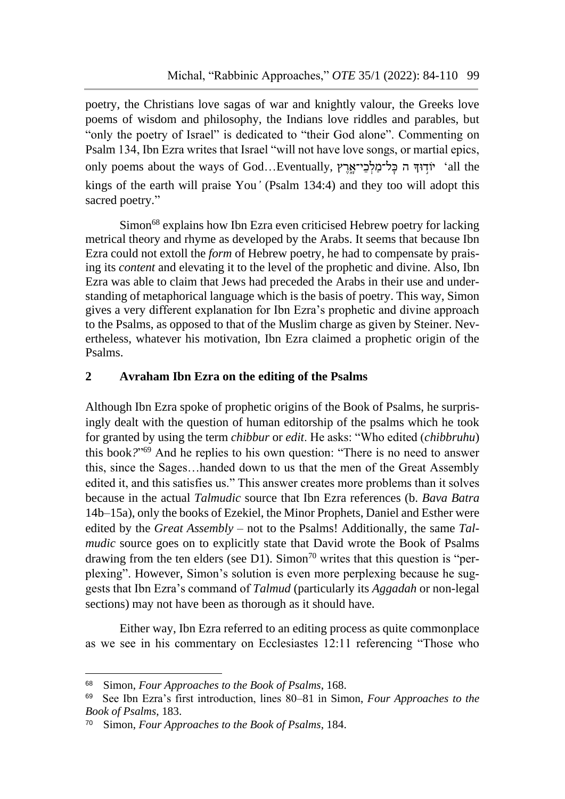poetry, the Christians love sagas of war and knightly valour, the Greeks love poems of wisdom and philosophy, the Indians love riddles and parables, but "only the poetry of Israel" is dedicated to "their God alone". Commenting on Psalm 134, Ibn Ezra writes that Israel "will not have love songs, or martial epics, only poems about the ways of God...Eventually, יֹוֹדִוּדְּה כֵּל־מַלְכֵי־אֲרֵץ 'all the kings of the earth will praise You*'* (Psalm 134:4) and they too will adopt this sacred poetry."

Simon<sup>68</sup> explains how Ibn Ezra even criticised Hebrew poetry for lacking metrical theory and rhyme as developed by the Arabs. It seems that because Ibn Ezra could not extoll the *form* of Hebrew poetry, he had to compensate by praising its *content* and elevating it to the level of the prophetic and divine. Also, Ibn Ezra was able to claim that Jews had preceded the Arabs in their use and understanding of metaphorical language which is the basis of poetry. This way, Simon gives a very different explanation for Ibn Ezra's prophetic and divine approach to the Psalms, as opposed to that of the Muslim charge as given by Steiner. Nevertheless, whatever his motivation, Ibn Ezra claimed a prophetic origin of the Psalms.

# **2 Avraham Ibn Ezra on the editing of the Psalms**

Although Ibn Ezra spoke of prophetic origins of the Book of Psalms, he surprisingly dealt with the question of human editorship of the psalms which he took for granted by using the term *chibbur* or *edit*. He asks: "Who edited (*chibbruhu*) this book*?*" <sup>69</sup> And he replies to his own question: "There is no need to answer this, since the Sages…handed down to us that the men of the Great Assembly edited it, and this satisfies us." This answer creates more problems than it solves because in the actual *Talmudic* source that Ibn Ezra references (b. *Bava Batra*  14b–15a), only the books of Ezekiel, the Minor Prophets, Daniel and Esther were edited by the *Great Assembly* – not to the Psalms! Additionally, the same *Talmudic* source goes on to explicitly state that David wrote the Book of Psalms drawing from the ten elders (see D1). Simon<sup>70</sup> writes that this question is "perplexing". However, Simon's solution is even more perplexing because he suggests that Ibn Ezra's command of *Talmud* (particularly its *Aggadah* or non-legal sections) may not have been as thorough as it should have.

Either way, Ibn Ezra referred to an editing process as quite commonplace as we see in his commentary on Ecclesiastes 12:11 referencing "Those who

-

<sup>68</sup> Simon, *Four Approaches to the Book of Psalms*, 168.

<sup>69</sup> See Ibn Ezra's first introduction, lines 80–81 in Simon, *Four Approaches to the Book of Psalms*, 183.

<sup>70</sup> Simon, *Four Approaches to the Book of Psalms*, 184.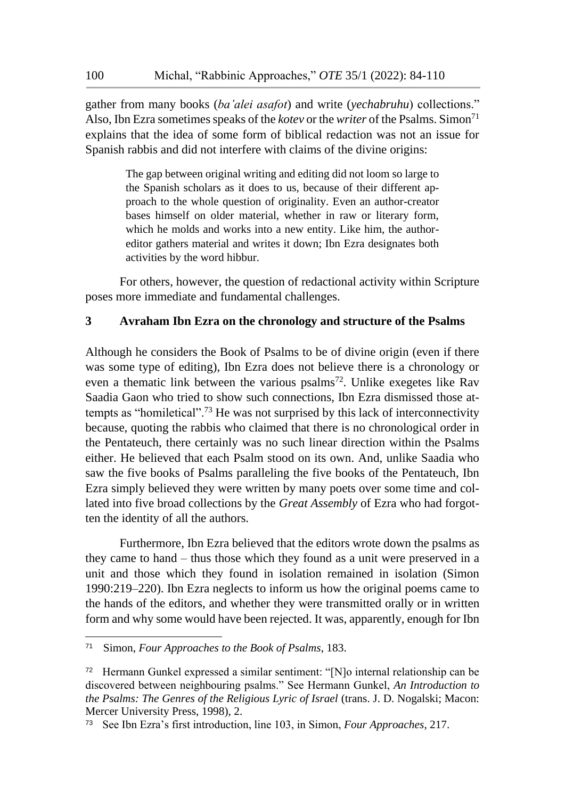gather from many books (*ba'alei asafot*) and write (*yechabruhu*) collections." Also, Ibn Ezra sometimes speaks of the *kotev* or the *writer* of the Psalms. Simon<sup>71</sup> explains that the idea of some form of biblical redaction was not an issue for Spanish rabbis and did not interfere with claims of the divine origins:

> The gap between original writing and editing did not loom so large to the Spanish scholars as it does to us, because of their different approach to the whole question of originality. Even an author-creator bases himself on older material, whether in raw or literary form, which he molds and works into a new entity. Like him, the authoreditor gathers material and writes it down; Ibn Ezra designates both activities by the word hibbur.

For others, however, the question of redactional activity within Scripture poses more immediate and fundamental challenges.

#### **3 Avraham Ibn Ezra on the chronology and structure of the Psalms**

Although he considers the Book of Psalms to be of divine origin (even if there was some type of editing), Ibn Ezra does not believe there is a chronology or even a thematic link between the various psalms<sup>72</sup>. Unlike exegetes like Rav Saadia Gaon who tried to show such connections, Ibn Ezra dismissed those attempts as "homiletical".<sup>73</sup> He was not surprised by this lack of interconnectivity because, quoting the rabbis who claimed that there is no chronological order in the Pentateuch, there certainly was no such linear direction within the Psalms either. He believed that each Psalm stood on its own. And, unlike Saadia who saw the five books of Psalms paralleling the five books of the Pentateuch, Ibn Ezra simply believed they were written by many poets over some time and collated into five broad collections by the *Great Assembly* of Ezra who had forgotten the identity of all the authors.

Furthermore, Ibn Ezra believed that the editors wrote down the psalms as they came to hand – thus those which they found as a unit were preserved in a unit and those which they found in isolation remained in isolation (Simon 1990:219–220). Ibn Ezra neglects to inform us how the original poems came to the hands of the editors, and whether they were transmitted orally or in written form and why some would have been rejected. It was, apparently, enough for Ibn

<sup>71</sup> Simon, *Four Approaches to the Book of Psalms*, 183.

<sup>72</sup> Hermann Gunkel expressed a similar sentiment: "[N]o internal relationship can be discovered between neighbouring psalms." See Hermann Gunkel, *An Introduction to the Psalms: The Genres of the Religious Lyric of Israel* (trans. J. D. Nogalski; Macon: Mercer University Press, 1998), 2.

<sup>73</sup> See Ibn Ezra's first introduction, line 103, in Simon, *Four Approaches*, 217.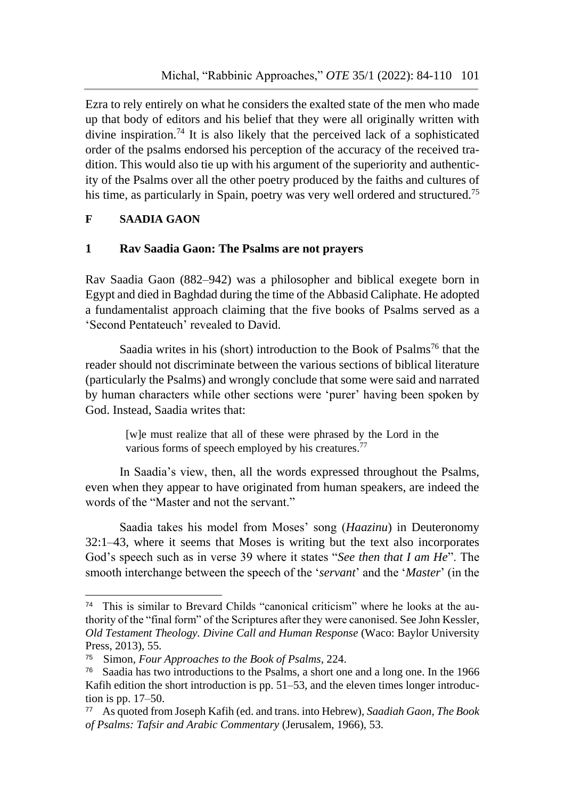Ezra to rely entirely on what he considers the exalted state of the men who made up that body of editors and his belief that they were all originally written with divine inspiration.<sup>74</sup> It is also likely that the perceived lack of a sophisticated order of the psalms endorsed his perception of the accuracy of the received tradition. This would also tie up with his argument of the superiority and authenticity of the Psalms over all the other poetry produced by the faiths and cultures of his time, as particularly in Spain, poetry was very well ordered and structured.<sup>75</sup>

# **F SAADIA GAON**

-

#### **1 Rav Saadia Gaon: The Psalms are not prayers**

Rav Saadia Gaon (882–942) was a philosopher and biblical exegete born in Egypt and died in Baghdad during the time of the Abbasid Caliphate. He adopted a fundamentalist approach claiming that the five books of Psalms served as a 'Second Pentateuch' revealed to David.

Saadia writes in his (short) introduction to the Book of Psalms<sup>76</sup> that the reader should not discriminate between the various sections of biblical literature (particularly the Psalms) and wrongly conclude that some were said and narrated by human characters while other sections were 'purer' having been spoken by God. Instead, Saadia writes that:

> [w]e must realize that all of these were phrased by the Lord in the various forms of speech employed by his creatures.<sup>77</sup>

In Saadia's view, then, all the words expressed throughout the Psalms, even when they appear to have originated from human speakers, are indeed the words of the "Master and not the servant."

Saadia takes his model from Moses' song (*Haazinu*) in Deuteronomy 32:1–43, where it seems that Moses is writing but the text also incorporates God's speech such as in verse 39 where it states "*See then that I am He*". The smooth interchange between the speech of the '*servant*' and the '*Master*' (in the

<sup>74</sup> This is similar to Brevard Childs "canonical criticism" where he looks at the authority of the "final form" of the Scriptures after they were canonised. See John Kessler, *Old Testament Theology. Divine Call and Human Response* (Waco: Baylor University Press, 2013), 55.

<sup>75</sup> Simon, *Four Approaches to the Book of Psalms*, 224.

<sup>76</sup> Saadia has two introductions to the Psalms, a short one and a long one. In the 1966 Kafih edition the short introduction is pp. 51–53, and the eleven times longer introduction is pp. 17–50.

<sup>77</sup> As quoted from Joseph Kafih (ed. and trans. into Hebrew), *Saadiah Gaon, The Book of Psalms: Tafsir and Arabic Commentary* (Jerusalem, 1966), 53.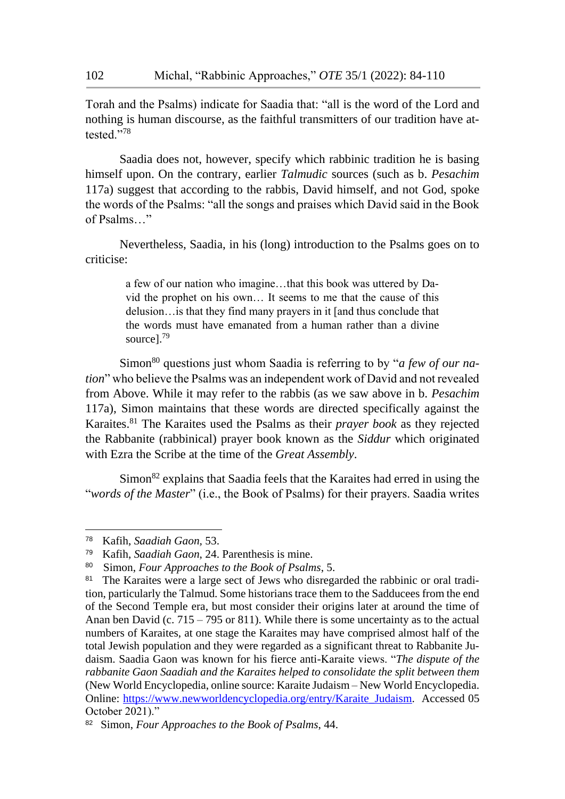Torah and the Psalms) indicate for Saadia that: "all is the word of the Lord and nothing is human discourse, as the faithful transmitters of our tradition have attested."<sup>78</sup>

Saadia does not, however, specify which rabbinic tradition he is basing himself upon. On the contrary, earlier *Talmudic* sources (such as b. *Pesachim* 117a) suggest that according to the rabbis, David himself, and not God, spoke the words of the Psalms: "all the songs and praises which David said in the Book of Psalms…"

Nevertheless, Saadia, in his (long) introduction to the Psalms goes on to criticise:

> a few of our nation who imagine…that this book was uttered by David the prophet on his own… It seems to me that the cause of this delusion…is that they find many prayers in it [and thus conclude that the words must have emanated from a human rather than a divine sourcel.<sup>79</sup>

Simon<sup>80</sup> questions just whom Saadia is referring to by "*a few of our nation*" who believe the Psalms was an independent work of David and not revealed from Above. While it may refer to the rabbis (as we saw above in b. *Pesachim* 117a), Simon maintains that these words are directed specifically against the Karaites.<sup>81</sup> The Karaites used the Psalms as their *prayer book* as they rejected the Rabbanite (rabbinical) prayer book known as the *Siddur* which originated with Ezra the Scribe at the time of the *Great Assembly*.

Simon<sup>82</sup> explains that Saadia feels that the Karaites had erred in using the "*words of the Master*" (i.e., the Book of Psalms) for their prayers. Saadia writes

<sup>78</sup> <sup>78</sup> Kafih, *Saadiah Gaon,* 53.

<sup>79</sup> Kafih, *Saadiah Gaon*, 24. Parenthesis is mine.

<sup>80</sup> Simon, *Four Approaches to the Book of Psalms*, 5.

<sup>&</sup>lt;sup>81</sup> The Karaites were a large sect of Jews who disregarded the rabbinic or oral tradition, particularly the Talmud. Some historians trace them to the Sadducees from the end of the Second Temple era, but most consider their origins later at around the time of Anan ben David (c. 715 – 795 or 811). While there is some uncertainty as to the actual numbers of Karaites, at one stage the Karaites may have comprised almost half of the total Jewish population and they were regarded as a significant threat to Rabbanite Judaism. Saadia Gaon was known for his fierce anti-Karaite views. "*The dispute of the rabbanite Gaon Saadiah and the Karaites helped to consolidate the split between them* (New World Encyclopedia, online source: Karaite Judaism – New World Encyclopedia. Online: [https://www.newworldencyclopedia.org/entry/Karaite\\_Judaism.](https://www.newworldencyclopedia.org/entry/Karaite_Judaism) Accessed 05 October 2021)."

<sup>82</sup> Simon, *Four Approaches to the Book of Psalms*, 44.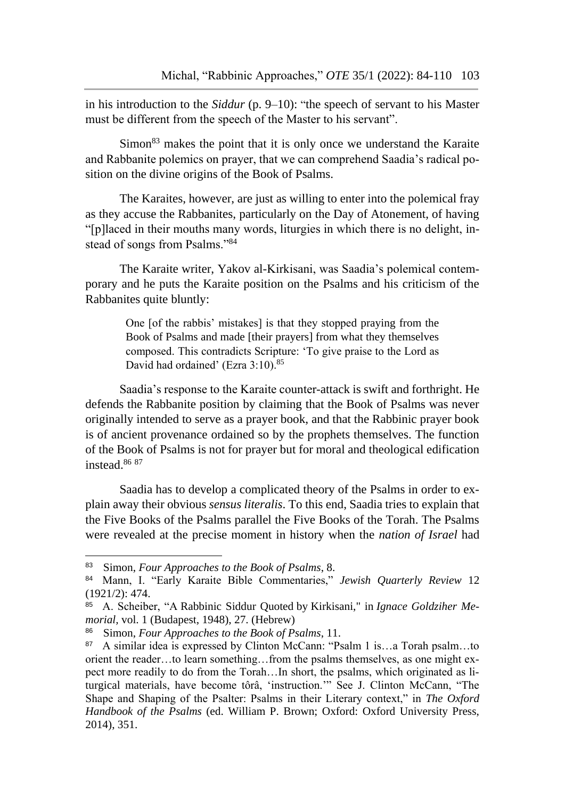in his introduction to the *Siddur* (p. 9–10): "the speech of servant to his Master must be different from the speech of the Master to his servant".

Simon<sup>83</sup> makes the point that it is only once we understand the Karaite and Rabbanite polemics on prayer, that we can comprehend Saadia's radical position on the divine origins of the Book of Psalms.

The Karaites, however, are just as willing to enter into the polemical fray as they accuse the Rabbanites, particularly on the Day of Atonement, of having "[p]laced in their mouths many words, liturgies in which there is no delight, instead of songs from Psalms."<sup>84</sup>

The Karaite writer, Yakov al-Kirkisani, was Saadia's polemical contemporary and he puts the Karaite position on the Psalms and his criticism of the Rabbanites quite bluntly:

> One [of the rabbis' mistakes] is that they stopped praying from the Book of Psalms and made [their prayers] from what they themselves composed. This contradicts Scripture: 'To give praise to the Lord as David had ordained' (Ezra 3:10).<sup>85</sup>

Saadia's response to the Karaite counter-attack is swift and forthright. He defends the Rabbanite position by claiming that the Book of Psalms was never originally intended to serve as a prayer book, and that the Rabbinic prayer book is of ancient provenance ordained so by the prophets themselves. The function of the Book of Psalms is not for prayer but for moral and theological edification instead.<sup>86</sup> <sup>87</sup>

Saadia has to develop a complicated theory of the Psalms in order to explain away their obvious *sensus literalis*. To this end, Saadia tries to explain that the Five Books of the Psalms parallel the Five Books of the Torah. The Psalms were revealed at the precise moment in history when the *nation of Israel* had

<sup>83</sup> Simon, *Four Approaches to the Book of Psalms*, 8.

<sup>84</sup> Mann, I. "Early Karaite Bible Commentaries," *Jewish Quarterly Review* 12 (1921/2): 474.

<sup>85</sup> A. Scheiber, "A Rabbinic Siddur Quoted by Kirkisani," in *Ignace Goldziher Memorial,* vol. 1 (Budapest, 1948), 27. (Hebrew)

<sup>86</sup> Simon, *Four Approaches to the Book of Psalms*, 11.

<sup>87</sup> A similar idea is expressed by Clinton McCann: "Psalm 1 is…a Torah psalm…to orient the reader…to learn something…from the psalms themselves, as one might expect more readily to do from the Torah…In short, the psalms, which originated as liturgical materials, have become tôrâ, 'instruction.'" See J. Clinton McCann, "The Shape and Shaping of the Psalter: Psalms in their Literary context," in *The Oxford Handbook of the Psalms* (ed. William P. Brown; Oxford: Oxford University Press, 2014), 351.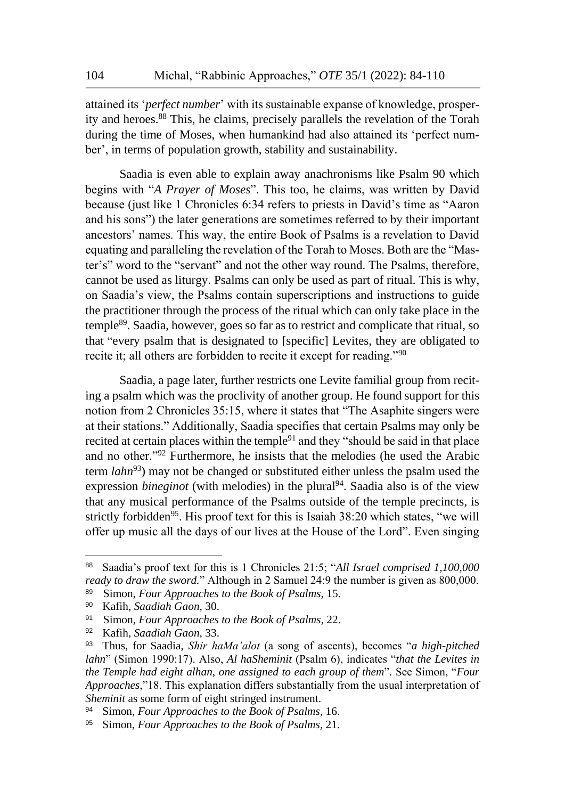attained its '*perfect number*' with its sustainable expanse of knowledge, prosperity and heroes.<sup>88</sup> This, he claims, precisely parallels the revelation of the Torah during the time of Moses, when humankind had also attained its 'perfect number', in terms of population growth, stability and sustainability.

Saadia is even able to explain away anachronisms like Psalm 90 which begins with "*A Prayer of Moses*". This too, he claims, was written by David because (just like 1 Chronicles 6:34 refers to priests in David's time as "Aaron and his sons") the later generations are sometimes referred to by their important ancestors' names. This way, the entire Book of Psalms is a revelation to David equating and paralleling the revelation of the Torah to Moses. Both are the "Master's" word to the "servant" and not the other way round. The Psalms, therefore, cannot be used as liturgy. Psalms can only be used as part of ritual. This is why, on Saadia's view, the Psalms contain superscriptions and instructions to guide the practitioner through the process of the ritual which can only take place in the temple<sup>89</sup>. Saadia, however, goes so far as to restrict and complicate that ritual, so that "every psalm that is designated to [specific] Levites, they are obligated to recite it; all others are forbidden to recite it except for reading."<sup>90</sup>

Saadia, a page later, further restricts one Levite familial group from reciting a psalm which was the proclivity of another group. He found support for this notion from 2 Chronicles 35:15, where it states that "The Asaphite singers were at their stations." Additionally, Saadia specifies that certain Psalms may only be recited at certain places within the temple<sup>91</sup> and they "should be said in that place and no other."<sup>92</sup> Furthermore, he insists that the melodies (he used the Arabic term *lahn*<sup>93</sup>) may not be changed or substituted either unless the psalm used the expression *bineginot* (with melodies) in the plural<sup>94</sup>. Saadia also is of the view that any musical performance of the Psalms outside of the temple precincts, is strictly forbidden<sup>95</sup>. His proof text for this is Isaiah  $38:20$  which states, "we will offer up music all the days of our lives at the House of the Lord". Even singing

<sup>88</sup> Saadia's proof text for this is 1 Chronicles 21:5; "*All Israel comprised 1,100,000 ready to draw the sword.*" Although in 2 Samuel 24:9 the number is given as 800,000. 89 Simon, *Four Approaches to the Book of Psalms*, 15.

<sup>90</sup> Kafih, *Saadiah Gaon,* 30.

<sup>91</sup> Simon, *Four Approaches to the Book of Psalms*, 22.

<sup>92</sup> Kafih, *Saadiah Gaon,* 33.

<sup>93</sup> Thus, for Saadia, *Shir haMa'alot* (a song of ascents), becomes "*a high-pitched lahn*" (Simon 1990:17). Also, *Al haSheminit* (Psalm 6), indicates "*that the Levites in the Temple had eight alhan, one assigned to each group of them*". See Simon, "*Four Approaches*,"18. This explanation differs substantially from the usual interpretation of *Sheminit* as some form of eight stringed instrument.

<sup>94</sup> Simon, *Four Approaches to the Book of Psalms*, 16.

<sup>95</sup> Simon, *Four Approaches to the Book of Psalms*, 21.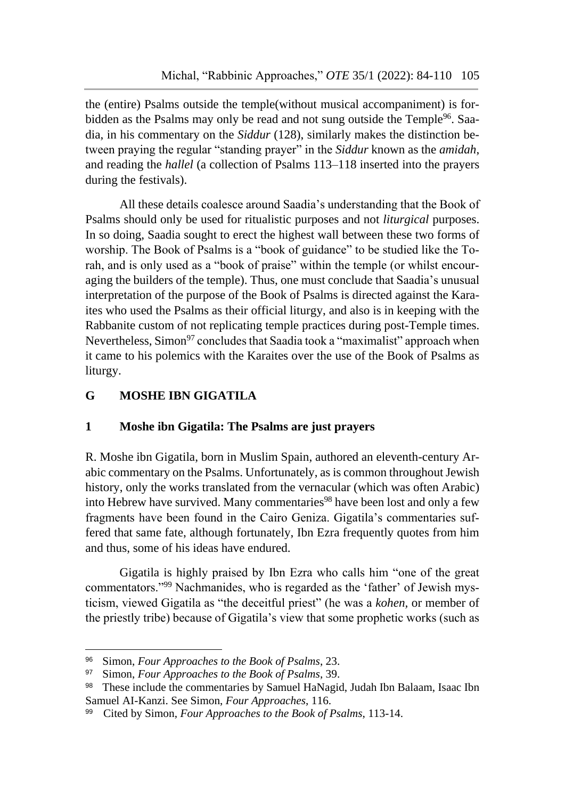the (entire) Psalms outside the temple(without musical accompaniment) is forbidden as the Psalms may only be read and not sung outside the Temple<sup>96</sup>. Saadia, in his commentary on the *Siddur* (128), similarly makes the distinction between praying the regular "standing prayer" in the *Siddur* known as the *amidah*, and reading the *hallel* (a collection of Psalms 113–118 inserted into the prayers during the festivals).

All these details coalesce around Saadia's understanding that the Book of Psalms should only be used for ritualistic purposes and not *liturgical* purposes. In so doing, Saadia sought to erect the highest wall between these two forms of worship. The Book of Psalms is a "book of guidance" to be studied like the Torah, and is only used as a "book of praise" within the temple (or whilst encouraging the builders of the temple). Thus, one must conclude that Saadia's unusual interpretation of the purpose of the Book of Psalms is directed against the Karaites who used the Psalms as their official liturgy, and also is in keeping with the Rabbanite custom of not replicating temple practices during post-Temple times. Nevertheless, Simon<sup>97</sup> concludes that Saadia took a "maximalist" approach when it came to his polemics with the Karaites over the use of the Book of Psalms as liturgy.

# **G MOSHE IBN GIGATILA**

# **1 Moshe ibn Gigatila: The Psalms are just prayers**

R. Moshe ibn Gigatila, born in Muslim Spain, authored an eleventh-century Arabic commentary on the Psalms. Unfortunately, as is common throughout Jewish history, only the works translated from the vernacular (which was often Arabic) into Hebrew have survived. Many commentaries<sup>98</sup> have been lost and only a few fragments have been found in the Cairo Geniza. Gigatila's commentaries suffered that same fate, although fortunately, Ibn Ezra frequently quotes from him and thus, some of his ideas have endured.

Gigatila is highly praised by Ibn Ezra who calls him "one of the great commentators."<sup>99</sup> Nachmanides, who is regarded as the 'father' of Jewish mysticism, viewed Gigatila as "the deceitful priest" (he was a *kohen,* or member of the priestly tribe) because of Gigatila's view that some prophetic works (such as

<sup>96</sup> Simon, *Four Approaches to the Book of Psalms*, 23.

<sup>97</sup> Simon, *Four Approaches to the Book of Psalms*, 39.

<sup>98</sup> These include the commentaries by Samuel HaNagid, Judah Ibn Balaam, Isaac Ibn Samuel AI-Kanzi. See Simon, *Four Approaches*, 116.

<sup>99</sup> Cited by Simon, *Four Approaches to the Book of Psalms*, 113-14.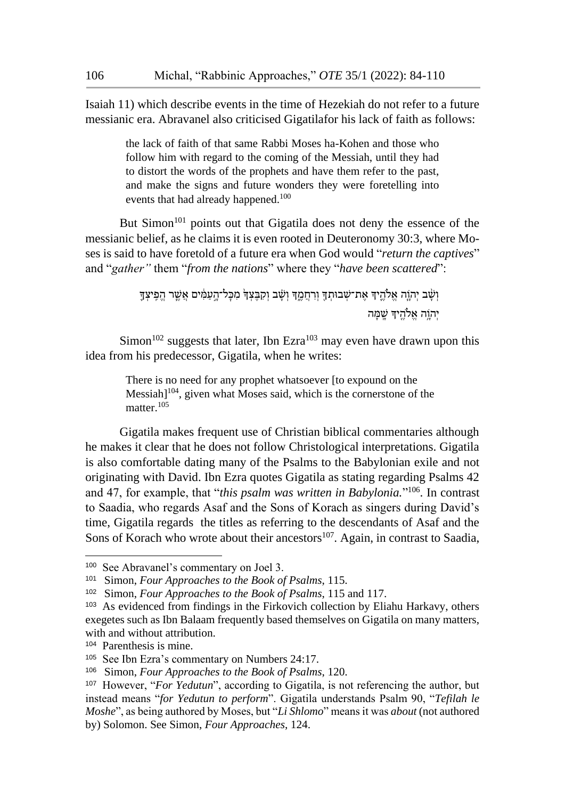Isaiah 11) which describe events in the time of Hezekiah do not refer to a future messianic era. Abravanel also criticised Gigatilafor his lack of faith as follows:

> the lack of faith of that same Rabbi Moses ha-Kohen and those who follow him with regard to the coming of the Messiah, until they had to distort the words of the prophets and have them refer to the past, and make the signs and future wonders they were foretelling into events that had already happened.<sup>100</sup>

But Simon<sup>101</sup> points out that Gigatila does not deny the essence of the messianic belief, as he claims it is even rooted in Deuteronomy 30:3, where Moses is said to have foretold of a future era when God would "*return the captives*" and "*gather"* them "*from the nations*" where they "*have been scattered*":

> וְשָׁ֫ב יִהְוֶה אֱלֹהֱיִךְ אֶת־שְׁבוּתְךָּ וְרְחֵמֶךְ וְשָׁב וְקִבֶּצְךָּ מִכְּל־הֲעָמִ֫ים אֲשֵׁר הֵפִִיצְךָ יְהוֵה אֱלֹהֵיִדְּ שֵׁמַּה

Simon<sup>102</sup> suggests that later, Ibn Ezra<sup>103</sup> may even have drawn upon this idea from his predecessor, Gigatila, when he writes:

> There is no need for any prophet whatsoever [to expound on the  $Messiah]$ <sup>104</sup>, given what Moses said, which is the cornerstone of the matter.<sup>105</sup>

Gigatila makes frequent use of Christian biblical commentaries although he makes it clear that he does not follow Christological interpretations. Gigatila is also comfortable dating many of the Psalms to the Babylonian exile and not originating with David. Ibn Ezra quotes Gigatila as stating regarding Psalms 42 and 47, for example, that "*this psalm was written in Babylonia.*" <sup>106</sup>. In contrast to Saadia, who regards Asaf and the Sons of Korach as singers during David's time, Gigatila regards the titles as referring to the descendants of Asaf and the Sons of Korach who wrote about their ancestors $107$ . Again, in contrast to Saadia,

<sup>100</sup> See Abravanel's commentary on Joel 3.

<sup>101</sup> Simon, *Four Approaches to the Book of Psalms*, 115.

<sup>102</sup> Simon, *Four Approaches to the Book of Psalms*, 115 and 117.

<sup>103</sup> As evidenced from findings in the Firkovich collection by Eliahu Harkavy, others exegetes such as Ibn Balaam frequently based themselves on Gigatila on many matters, with and without attribution.

<sup>104</sup> Parenthesis is mine.

<sup>105</sup> See Ibn Ezra's commentary on Numbers 24:17.

<sup>106</sup> Simon, *Four Approaches to the Book of Psalms*, 120.

<sup>107</sup> However, "*For Yedutun*", according to Gigatila, is not referencing the author, but instead means "*for Yedutun to perform*". Gigatila understands Psalm 90, "*Tefilah le Moshe*", as being authored by Moses, but "*Li Shlomo*" means it was *about* (not authored by) Solomon. See Simon, *Four Approaches*, 124.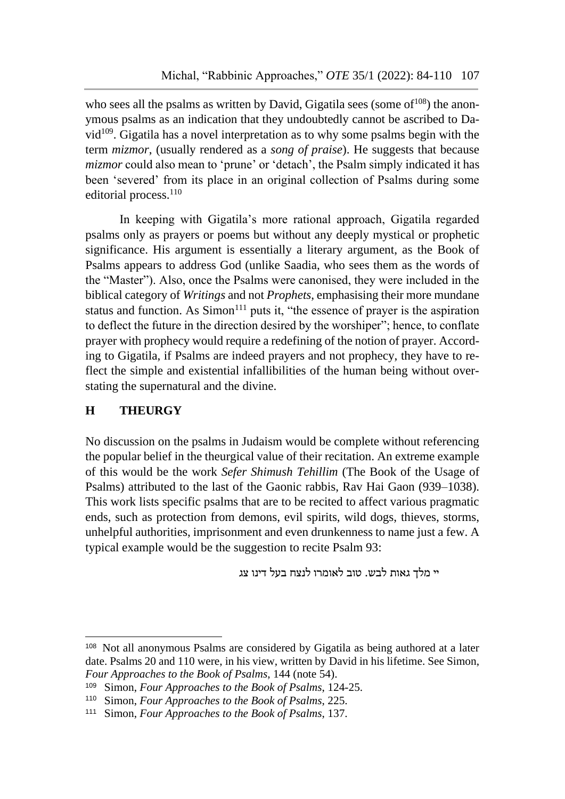who sees all the psalms as written by David, Gigatila sees (some of  $108$ ) the anonymous psalms as an indication that they undoubtedly cannot be ascribed to David $109$ . Gigatila has a novel interpretation as to why some psalms begin with the term *mizmor*, (usually rendered as a *song of praise*). He suggests that because *mizmor* could also mean to 'prune' or 'detach', the Psalm simply indicated it has been 'severed' from its place in an original collection of Psalms during some editorial process.<sup>110</sup>

In keeping with Gigatila's more rational approach, Gigatila regarded psalms only as prayers or poems but without any deeply mystical or prophetic significance. His argument is essentially a literary argument, as the Book of Psalms appears to address God (unlike Saadia, who sees them as the words of the "Master"). Also, once the Psalms were canonised, they were included in the biblical category of *Writings* and not *Prophets*, emphasising their more mundane status and function. As  $S<sup>111</sup>$  puts it, "the essence of prayer is the aspiration to deflect the future in the direction desired by the worshiper"; hence, to conflate prayer with prophecy would require a redefining of the notion of prayer. According to Gigatila, if Psalms are indeed prayers and not prophecy, they have to reflect the simple and existential infallibilities of the human being without overstating the supernatural and the divine.

# **H THEURGY**

1

No discussion on the psalms in Judaism would be complete without referencing the popular belief in the theurgical value of their recitation. An extreme example of this would be the work *Sefer Shimush Tehillim* (The Book of the Usage of Psalms) attributed to the last of the Gaonic rabbis, Rav Hai Gaon (939–1038). This work lists specific psalms that are to be recited to affect various pragmatic ends, such as protection from demons, evil spirits, wild dogs, thieves, storms, unhelpful authorities, imprisonment and even drunkenness to name just a few. A typical example would be the suggestion to recite Psalm 93:

יי מלך גאות לבש. טוב לאומרו לנצח בעל דינו צג

<sup>108</sup> Not all anonymous Psalms are considered by Gigatila as being authored at a later date. Psalms 20 and 110 were, in his view, written by David in his lifetime. See Simon, *Four Approaches to the Book of Psalms*, 144 (note 54).

<sup>109</sup> Simon, *Four Approaches to the Book of Psalms*, 124-25.

<sup>110</sup> Simon, *Four Approaches to the Book of Psalms*, 225.

<sup>111</sup> Simon, *Four Approaches to the Book of Psalms*, 137.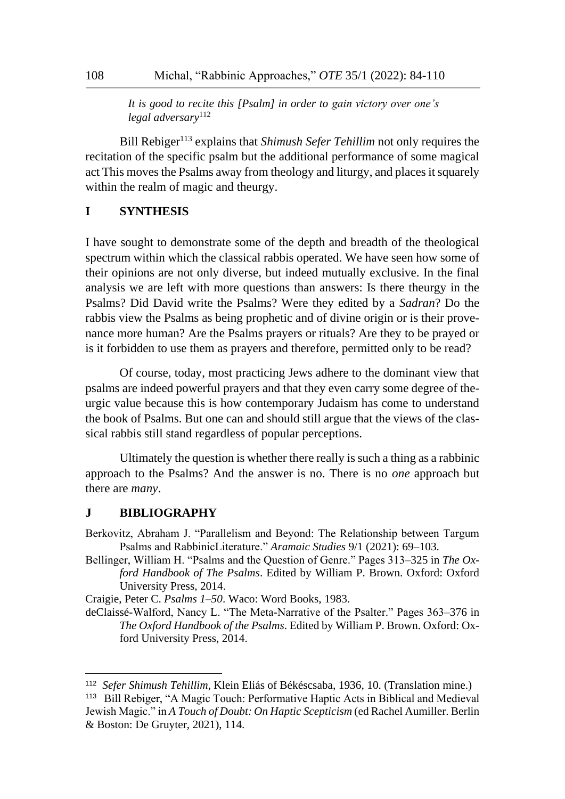*It is good to recite this [Psalm] in order to gain victory over one's legal adversary*<sup>112</sup>

Bill Rebiger<sup>113</sup> explains that *Shimush Sefer Tehillim* not only requires the recitation of the specific psalm but the additional performance of some magical act This moves the Psalms away from theology and liturgy, and places it squarely within the realm of magic and theurgy.

#### **I SYNTHESIS**

I have sought to demonstrate some of the depth and breadth of the theological spectrum within which the classical rabbis operated. We have seen how some of their opinions are not only diverse, but indeed mutually exclusive. In the final analysis we are left with more questions than answers: Is there theurgy in the Psalms? Did David write the Psalms? Were they edited by a *Sadran*? Do the rabbis view the Psalms as being prophetic and of divine origin or is their provenance more human? Are the Psalms prayers or rituals? Are they to be prayed or is it forbidden to use them as prayers and therefore, permitted only to be read?

Of course, today, most practicing Jews adhere to the dominant view that psalms are indeed powerful prayers and that they even carry some degree of theurgic value because this is how contemporary Judaism has come to understand the book of Psalms. But one can and should still argue that the views of the classical rabbis still stand regardless of popular perceptions.

Ultimately the question is whether there really is such a thing as a rabbinic approach to the Psalms? And the answer is no. There is no *one* approach but there are *many*.

#### **J BIBLIOGRAPHY**

-

Berkovitz, Abraham J. "Parallelism and Beyond: The Relationship between Targum Psalms and RabbinicLiterature." *Aramaic Studies* 9/1 (2021): 69–103.

Bellinger, William H. "Psalms and the Question of Genre." Pages 313–325 in *The Oxford Handbook of The Psalms*. Edited by William P. Brown. Oxford: Oxford University Press, 2014.

Craigie, Peter C. *Psalms 1–50*. Waco: Word Books, 1983.

deClaissé-Walford, Nancy L. "The Meta-Narrative of the Psalter." Pages 363–376 in *The Oxford Handbook of the Psalms*. Edited by William P. Brown. Oxford: Oxford University Press, 2014.

<sup>112</sup> *Sefer Shimush Tehillim*, Klein Eliás of Békéscsaba, 1936, 10. (Translation mine.)

<sup>113</sup> Bill Rebiger, "A Magic Touch: Performative Haptic Acts in Biblical and Medieval Jewish Magic." in *A Touch of Doubt: On Haptic Scepticism* (ed Rachel Aumiller. Berlin & Boston: De Gruyter, 2021), 114.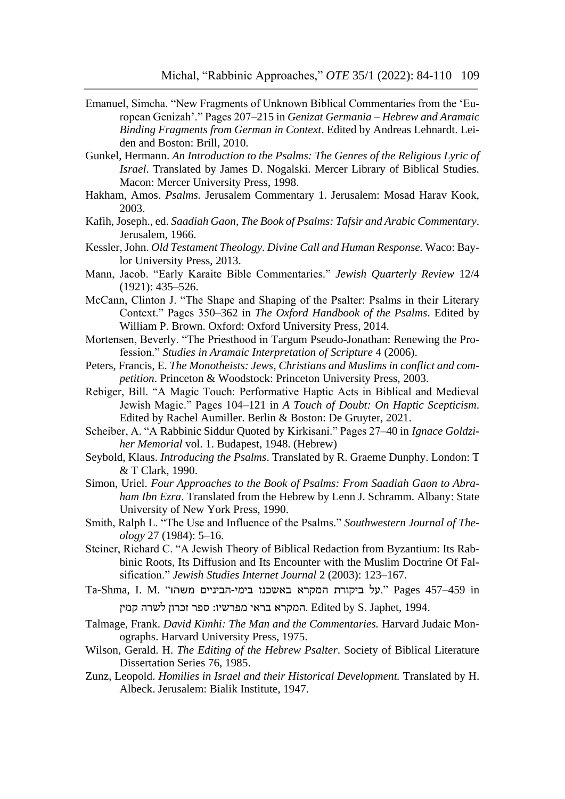- Emanuel, Simcha. "New Fragments of Unknown Biblical Commentaries from the 'European Genizah'." Pages 207–215 in *Genizat Germania – Hebrew and Aramaic Binding Fragments from German in Context*. Edited by Andreas Lehnardt. Leiden and Boston: Brill, 2010.
- Gunkel, Hermann. *An Introduction to the Psalms: The Genres of the Religious Lyric of Israel*. Translated by James D. Nogalski. Mercer Library of Biblical Studies. Macon: Mercer University Press, 1998.
- Hakham, Amos. *Psalms.* Jerusalem Commentary 1. Jerusalem: Mosad Harav Kook, 2003.
- Kafih, Joseph., ed. *Saadiah Gaon, The Book of Psalms: Tafsir and Arabic Commentary*. Jerusalem, 1966.
- Kessler, John. *Old Testament Theology. Divine Call and Human Response.* Waco: Baylor University Press, 2013.
- Mann, Jacob. "Early Karaite Bible Commentaries." *Jewish Quarterly Review* 12/4 (1921): 435–526.
- McCann, Clinton J. "The Shape and Shaping of the Psalter: Psalms in their Literary Context." Pages 350–362 in *The Oxford Handbook of the Psalms*. Edited by William P. Brown. Oxford: Oxford University Press, 2014.
- Mortensen, Beverly. "The Priesthood in Targum Pseudo-Jonathan: Renewing the Profession." *Studies in Aramaic Interpretation of Scripture* 4 (2006).
- Peters, Francis, E. *The Monotheists: Jews, Christians and Muslims in conflict and competition*. Princeton & Woodstock: Princeton University Press, 2003.
- Rebiger, Bill. "A Magic Touch: Performative Haptic Acts in Biblical and Medieval Jewish Magic." Pages 104–121 in *A Touch of Doubt: On Haptic Scepticism*. Edited by Rachel Aumiller. Berlin & Boston: De Gruyter, 2021.
- Scheiber, A. "A Rabbinic Siddur Quoted by Kirkisani." Pages 27–40 in *Ignace Goldziher Memorial* vol. 1. Budapest, 1948. (Hebrew)
- Seybold, Klaus. *Introducing the Psalms*. Translated by R. Graeme Dunphy. London: T & T Clark, 1990.
- Simon, Uriel. *Four Approaches to the Book of Psalms: From Saadiah Gaon to Abraham Ibn Ezra*. Translated from the Hebrew by Lenn J. Schramm. Albany: State University of New York Press, 1990.
- Smith, Ralph L. "The Use and Influence of the Psalms." *Southwestern Journal of Theology* 27 (1984): 5–16.
- Steiner, Richard C. "A Jewish Theory of Biblical Redaction from Byzantium: Its Rabbinic Roots, Its Diffusion and Its Encounter with the Muslim Doctrine Of Falsification." *Jewish Studies Internet Journal* 2 (2003): 123–167.
- $Ta$ -Shma, I. M. "על ביקורת המקרא באשכנז בימי-הביניים משהו.  $\frac{m}{2}$  Pages 457–459 in המקרא בראי מפרשיו: ספר זכרון לשרה קמין. Edited by S. Japhet, 1994.
- Talmage, Frank. *David Kimhi: The Man and the Commentaries.* Harvard Judaic Monographs. Harvard University Press, 1975.
- Wilson, Gerald. H. *The Editing of the Hebrew Psalter*. Society of Biblical Literature Dissertation Series 76, 1985.
- Zunz, Leopold. *Homilies in Israel and their Historical Development.* Translated by H. Albeck. Jerusalem: Bialik Institute, 1947.